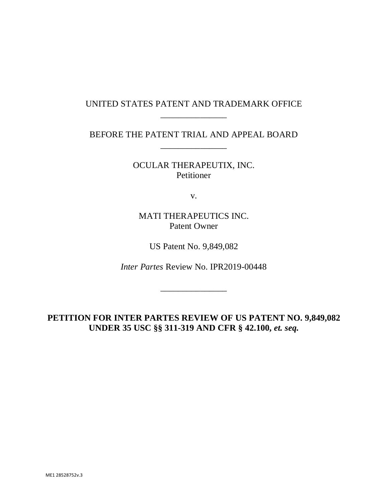## UNITED STATES PATENT AND TRADEMARK OFFICE \_\_\_\_\_\_\_\_\_\_\_\_\_\_\_

BEFORE THE PATENT TRIAL AND APPEAL BOARD \_\_\_\_\_\_\_\_\_\_\_\_\_\_\_

> OCULAR THERAPEUTIX, INC. Petitioner

> > v.

MATI THERAPEUTICS INC. Patent Owner

US Patent No. 9,849,082

*Inter Partes* Review No. IPR2019-00448

\_\_\_\_\_\_\_\_\_\_\_\_\_\_\_

**PETITION FOR INTER PARTES REVIEW OF US PATENT NO. 9,849,082**  UNDER 35 USC §§ 311-319 AND CFR § 42.100, *et. seq.*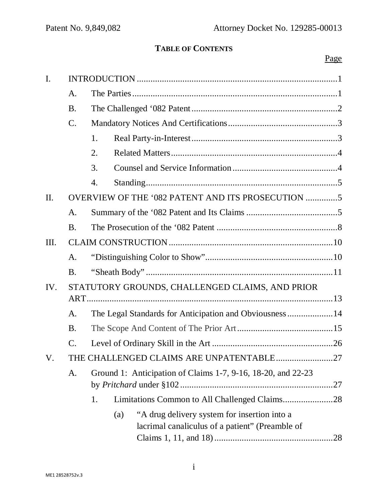# **TABLE OF CONTENTS**

# Page

| I.        |                                                 |                                                                                                        |  |  |  |  |
|-----------|-------------------------------------------------|--------------------------------------------------------------------------------------------------------|--|--|--|--|
|           | A.                                              |                                                                                                        |  |  |  |  |
|           | <b>B.</b>                                       |                                                                                                        |  |  |  |  |
|           | C.                                              |                                                                                                        |  |  |  |  |
|           |                                                 | 1.                                                                                                     |  |  |  |  |
|           |                                                 | 2.                                                                                                     |  |  |  |  |
|           |                                                 | 3.                                                                                                     |  |  |  |  |
|           |                                                 | 4.                                                                                                     |  |  |  |  |
| П.        |                                                 |                                                                                                        |  |  |  |  |
|           | A.                                              |                                                                                                        |  |  |  |  |
|           | <b>B.</b>                                       |                                                                                                        |  |  |  |  |
| Ш.        |                                                 |                                                                                                        |  |  |  |  |
|           | A.                                              |                                                                                                        |  |  |  |  |
|           | <b>B.</b>                                       |                                                                                                        |  |  |  |  |
| IV.       | STATUTORY GROUNDS, CHALLENGED CLAIMS, AND PRIOR |                                                                                                        |  |  |  |  |
|           |                                                 |                                                                                                        |  |  |  |  |
|           | A.                                              | The Legal Standards for Anticipation and Obviousness14                                                 |  |  |  |  |
| <b>B.</b> |                                                 |                                                                                                        |  |  |  |  |
|           | C.                                              |                                                                                                        |  |  |  |  |
| V.        |                                                 | THE CHALLENGED CLAIMS ARE UNPATENTABLE27                                                               |  |  |  |  |
|           | A.                                              | Ground 1: Anticipation of Claims 1-7, 9-16, 18-20, and 22-23                                           |  |  |  |  |
|           |                                                 | Limitations Common to All Challenged Claims28<br>1.                                                    |  |  |  |  |
|           |                                                 | "A drug delivery system for insertion into a<br>(a)<br>lacrimal canaliculus of a patient" (Preamble of |  |  |  |  |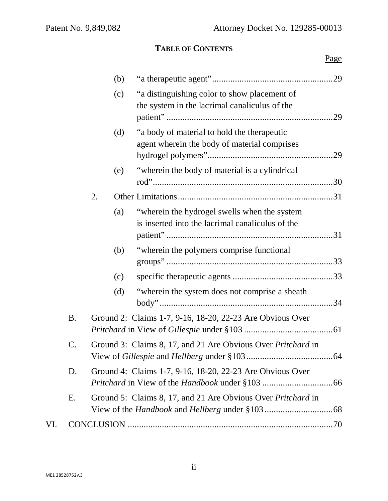# **TABLE OF CONTENTS**

| Page |
|------|
| -    |

|                                                                               |                                                                 |    | (b) |                                                                                                  |  |
|-------------------------------------------------------------------------------|-----------------------------------------------------------------|----|-----|--------------------------------------------------------------------------------------------------|--|
|                                                                               |                                                                 |    | (c) | "a distinguishing color to show placement of<br>the system in the lacrimal canaliculus of the    |  |
|                                                                               |                                                                 |    | (d) | "a body of material to hold the therapeutic<br>agent wherein the body of material comprises      |  |
|                                                                               |                                                                 |    | (e) | "wherein the body of material is a cylindrical                                                   |  |
|                                                                               |                                                                 | 2. |     |                                                                                                  |  |
|                                                                               |                                                                 |    | (a) | "wherein the hydrogel swells when the system<br>is inserted into the lacrimal canaliculus of the |  |
|                                                                               |                                                                 |    | (b) | "wherein the polymers comprise functional"                                                       |  |
|                                                                               |                                                                 |    | (c) |                                                                                                  |  |
|                                                                               |                                                                 |    | (d) | "wherein the system does not comprise a sheath                                                   |  |
| <b>B.</b>                                                                     |                                                                 |    |     | Ground 2: Claims 1-7, 9-16, 18-20, 22-23 Are Obvious Over                                        |  |
| $\mathsf{C}.$<br>Ground 3: Claims 8, 17, and 21 Are Obvious Over Pritchard in |                                                                 |    |     |                                                                                                  |  |
|                                                                               | Ground 4: Claims 1-7, 9-16, 18-20, 22-23 Are Obvious Over<br>D. |    |     |                                                                                                  |  |
|                                                                               | E.                                                              |    |     | Ground 5: Claims 8, 17, and 21 Are Obvious Over Pritchard in                                     |  |
| VI.                                                                           |                                                                 |    |     |                                                                                                  |  |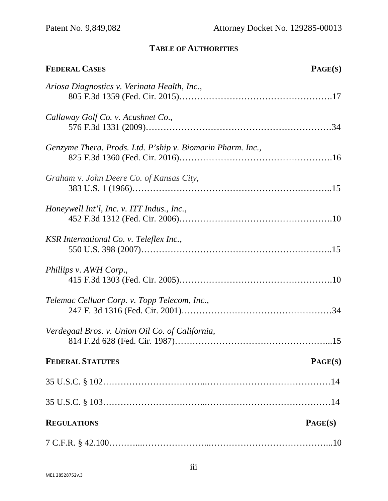# **TABLE OF AUTHORITIES**

| <b>FEDERAL CASES</b>                                       | PAGE(S) |
|------------------------------------------------------------|---------|
| Ariosa Diagnostics v. Verinata Health, Inc.,               |         |
| Callaway Golf Co. v. Acushnet Co.,                         |         |
| Genzyme Thera. Prods. Ltd. P'ship v. Biomarin Pharm. Inc., |         |
| Graham v. John Deere Co. of Kansas City,                   |         |
| Honeywell Int'l, Inc. v. ITT Indus., Inc.,                 |         |
| KSR International Co. v. Teleflex Inc.,                    |         |
| Phillips v. AWH Corp.,                                     |         |
| Telemac Celluar Corp. v. Topp Telecom, Inc.,               |         |
| Verdegaal Bros. v. Union Oil Co. of California,            |         |
| <b>FEDERAL STATUTES</b>                                    | PAGE(S) |
|                                                            |         |
|                                                            |         |
| <b>REGULATIONS</b>                                         | PAGE(S) |
|                                                            |         |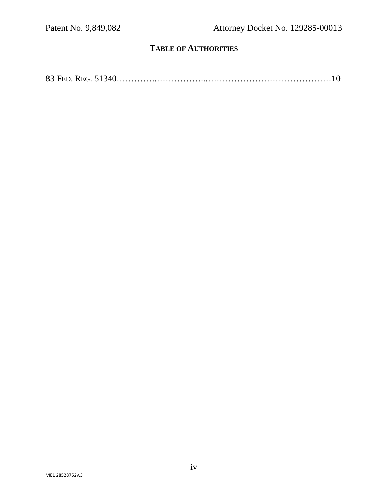## **TABLE OF AUTHORITIES**

83 FED. REG. 51340…………..……………...……………………………………10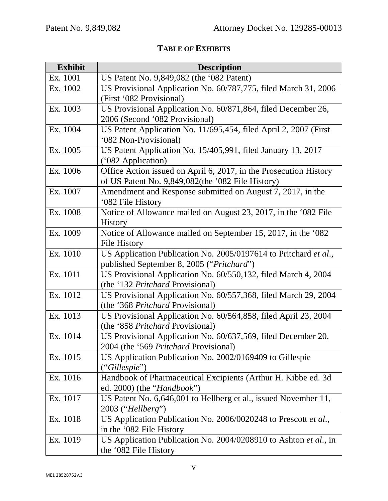# **TABLE OF EXHIBITS**

| <b>Exhibit</b> | <b>Description</b>                                                |  |  |
|----------------|-------------------------------------------------------------------|--|--|
| Ex. 1001       | US Patent No. 9,849,082 (the '082 Patent)                         |  |  |
| Ex. 1002       | US Provisional Application No. 60/787,775, filed March 31, 2006   |  |  |
|                | (First '082 Provisional)                                          |  |  |
| Ex. 1003       | US Provisional Application No. 60/871,864, filed December 26,     |  |  |
|                | 2006 (Second '082 Provisional)                                    |  |  |
| Ex. 1004       | US Patent Application No. 11/695,454, filed April 2, 2007 (First  |  |  |
|                | '082 Non-Provisional)                                             |  |  |
| Ex. 1005       | US Patent Application No. 15/405,991, filed January 13, 2017      |  |  |
|                | ('082 Application)                                                |  |  |
| Ex. 1006       | Office Action issued on April 6, 2017, in the Prosecution History |  |  |
|                | of US Patent No. 9,849,082(the '082 File History)                 |  |  |
| Ex. 1007       | Amendment and Response submitted on August 7, 2017, in the        |  |  |
|                | '082 File History                                                 |  |  |
| Ex. 1008       | Notice of Allowance mailed on August 23, 2017, in the '082 File   |  |  |
|                | <b>History</b>                                                    |  |  |
| Ex. 1009       | Notice of Allowance mailed on September 15, 2017, in the '082     |  |  |
|                | <b>File History</b>                                               |  |  |
| Ex. 1010       | US Application Publication No. 2005/0197614 to Pritchard et al.,  |  |  |
|                | published September 8, 2005 ("Pritchard")                         |  |  |
| Ex. 1011       | US Provisional Application No. 60/550,132, filed March 4, 2004    |  |  |
|                | (the '132 <i>Pritchard</i> Provisional)                           |  |  |
| Ex. 1012       | US Provisional Application No. 60/557,368, filed March 29, 2004   |  |  |
|                | (the '368 <i>Pritchard</i> Provisional)                           |  |  |
| Ex. 1013       | US Provisional Application No. 60/564,858, filed April 23, 2004   |  |  |
|                | (the '858 Pritchard Provisional)                                  |  |  |
| Ex. 1014       | US Provisional Application No. 60/637,569, filed December 20,     |  |  |
|                | 2004 (the '569 <i>Pritchard</i> Provisional)                      |  |  |
| Ex. 1015       | US Application Publication No. 2002/0169409 to Gillespie          |  |  |
|                | ("Gillespie")                                                     |  |  |
| Ex. 1016       | Handbook of Pharmaceutical Excipients (Arthur H. Kibbe ed. 3d     |  |  |
|                | ed. 2000) (the " <i>Handbook</i> ")                               |  |  |
| Ex. 1017       | US Patent No. 6,646,001 to Hellberg et al., issued November 11,   |  |  |
|                | 2003 ("Hellberg")                                                 |  |  |
| Ex. 1018       | US Application Publication No. 2006/0020248 to Prescott et al.,   |  |  |
|                | in the '082 File History                                          |  |  |
| Ex. 1019       | US Application Publication No. 2004/0208910 to Ashton et al., in  |  |  |
|                | the '082 File History                                             |  |  |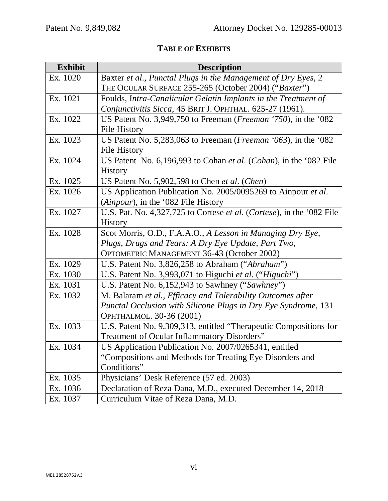# **TABLE OF EXHIBITS**

| <b>Exhibit</b> | <b>Description</b>                                                           |  |
|----------------|------------------------------------------------------------------------------|--|
| Ex. 1020       | Baxter et al., Punctal Plugs in the Management of Dry Eyes, 2                |  |
|                | THE OCULAR SURFACE 255-265 (October 2004) ("Baxter")                         |  |
| Ex. 1021       | Foulds, Intra-Canalicular Gelatin Implants in the Treatment of               |  |
|                | Conjunctivitis Sicca, 45 BRIT J. OPHTHAL. 625-27 (1961).                     |  |
| Ex. 1022       | US Patent No. 3,949,750 to Freeman ( <i>Freeman</i> '750), in the '082       |  |
|                | <b>File History</b>                                                          |  |
| Ex. 1023       | US Patent No. 5,283,063 to Freeman ( <i>Freeman</i> $(063)$ , in the $(082)$ |  |
|                | File History                                                                 |  |
| Ex. 1024       | US Patent No. 6,196,993 to Cohan et al. (Cohan), in the '082 File            |  |
|                | <b>History</b>                                                               |  |
| Ex. 1025       | US Patent No. 5,902,598 to Chen et al. (Chen)                                |  |
| Ex. 1026       | US Application Publication No. 2005/0095269 to Ainpour et al.                |  |
|                | (Ainpour), in the '082 File History                                          |  |
| Ex. 1027       | U.S. Pat. No. 4,327,725 to Cortese et al. (Cortese), in the '082 File        |  |
|                | History                                                                      |  |
| Ex. 1028       | Scot Morris, O.D., F.A.A.O., A Lesson in Managing Dry Eye,                   |  |
|                | Plugs, Drugs and Tears: A Dry Eye Update, Part Two,                          |  |
|                | OPTOMETRIC MANAGEMENT 36-43 (October 2002)                                   |  |
| Ex. 1029       | U.S. Patent No. 3,826,258 to Abraham ("Abraham")                             |  |
| Ex. 1030       | U.S. Patent No. 3,993,071 to Higuchi et al. ("Higuchi")                      |  |
| Ex. 1031       | U.S. Patent No. 6,152,943 to Sawhney ("Sawhney")                             |  |
| Ex. 1032       | M. Balaram et al., Efficacy and Tolerability Outcomes after                  |  |
|                | Punctal Occlusion with Silicone Plugs in Dry Eye Syndrome, 131               |  |
|                | OPHTHALMOL. 30-36 (2001)                                                     |  |
| Ex. 1033       | U.S. Patent No. 9,309,313, entitled "Therapeutic Compositions for            |  |
|                | Treatment of Ocular Inflammatory Disorders"                                  |  |
| Ex. 1034       | US Application Publication No. 2007/0265341, entitled                        |  |
|                | "Compositions and Methods for Treating Eye Disorders and                     |  |
|                | Conditions"                                                                  |  |
| Ex. 1035       | Physicians' Desk Reference (57 ed. 2003)                                     |  |
| Ex. 1036       | Declaration of Reza Dana, M.D., executed December 14, 2018                   |  |
| Ex. 1037       | Curriculum Vitae of Reza Dana, M.D.                                          |  |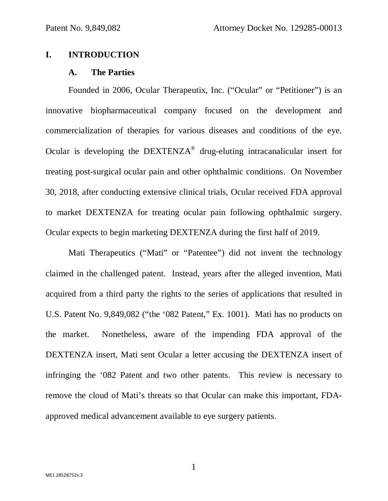#### **I. INTRODUCTION**

#### **A. The Parties**

Founded in 2006, Ocular Therapeutix, Inc. ("Ocular" or "Petitioner") is an innovative biopharmaceutical company focused on the development and commercialization of therapies for various diseases and conditions of the eye. Ocular is developing the  $DEXTENZA^{\otimes}$  drug-eluting intracanalicular insert for treating post-surgical ocular pain and other ophthalmic conditions. On November 30, 2018, after conducting extensive clinical trials, Ocular received FDA approval to market DEXTENZA for treating ocular pain following ophthalmic surgery. Ocular expects to begin marketing DEXTENZA during the first half of 2019.

Mati Therapeutics ("Mati" or "Patentee") did not invent the technology claimed in the challenged patent. Instead, years after the alleged invention, Mati acquired from a third party the rights to the series of applications that resulted in U.S. Patent No. 9,849,082 ("the '082 Patent," Ex. 1001). Mati has no products on the market. Nonetheless, aware of the impending FDA approval of the DEXTENZA insert, Mati sent Ocular a letter accusing the DEXTENZA insert of infringing the '082 Patent and two other patents. This review is necessary to remove the cloud of Mati's threats so that Ocular can make this important, FDAapproved medical advancement available to eye surgery patients.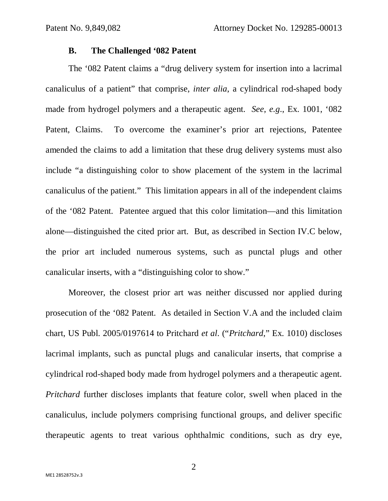#### **B. The Challenged '082 Patent**

 The '082 Patent claims a "drug delivery system for insertion into a lacrimal canaliculus of a patient" that comprise, *inter alia*, a cylindrical rod-shaped body made from hydrogel polymers and a therapeutic agent. *See*, *e.g*., Ex. 1001, '082 Patent, Claims. To overcome the examiner's prior art rejections, Patentee amended the claims to add a limitation that these drug delivery systems must also include "a distinguishing color to show placement of the system in the lacrimal canaliculus of the patient." This limitation appears in all of the independent claims of the '082 Patent. Patentee argued that this color limitation—and this limitation alone—distinguished the cited prior art. But, as described in Section IV.C below, the prior art included numerous systems, such as punctal plugs and other canalicular inserts, with a "distinguishing color to show."

 Moreover, the closest prior art was neither discussed nor applied during prosecution of the '082 Patent. As detailed in Section V.A and the included claim chart, US Publ. 2005/0197614 to Pritchard *et al*. ("*Pritchard*," Ex. 1010) discloses lacrimal implants, such as punctal plugs and canalicular inserts, that comprise a cylindrical rod-shaped body made from hydrogel polymers and a therapeutic agent. *Pritchard* further discloses implants that feature color, swell when placed in the canaliculus, include polymers comprising functional groups, and deliver specific therapeutic agents to treat various ophthalmic conditions, such as dry eye,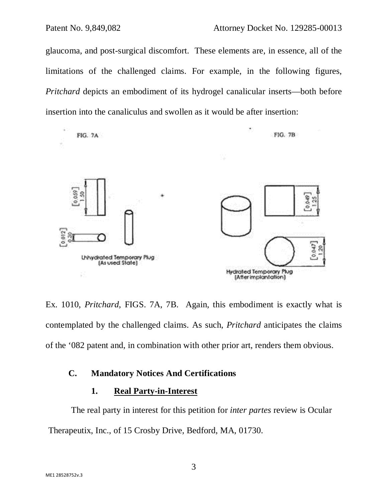glaucoma, and post-surgical discomfort. These elements are, in essence, all of the limitations of the challenged claims. For example, in the following figures, *Pritchard* depicts an embodiment of its hydrogel canalicular inserts—both before insertion into the canaliculus and swollen as it would be after insertion:



Ex. 1010, *Pritchard*, FIGS. 7A, 7B. Again, this embodiment is exactly what is contemplated by the challenged claims. As such, *Pritchard* anticipates the claims of the '082 patent and, in combination with other prior art, renders them obvious.

## **C. Mandatory Notices And Certifications**

#### **1. Real Party-in-Interest**

The real party in interest for this petition for *inter partes* review is Ocular Therapeutix, Inc., of 15 Crosby Drive, Bedford, MA, 01730.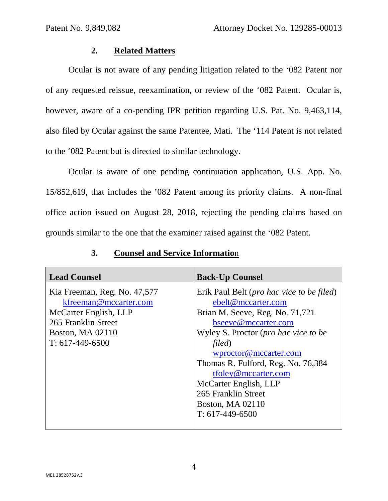#### **2. Related Matters**

Ocular is not aware of any pending litigation related to the '082 Patent nor of any requested reissue, reexamination, or review of the '082 Patent. Ocular is, however, aware of a co-pending IPR petition regarding U.S. Pat. No. 9,463,114, also filed by Ocular against the same Patentee, Mati. The '114 Patent is not related to the '082 Patent but is directed to similar technology.

Ocular is aware of one pending continuation application, U.S. App. No. 15/852,619, that includes the '082 Patent among its priority claims. A non-final office action issued on August 28, 2018, rejecting the pending claims based on grounds similar to the one that the examiner raised against the '082 Patent.

| <b>Lead Counsel</b>                                                                                                                                   | <b>Back-Up Counsel</b>                                                                                                                                                                                                                                                                                                                                                      |
|-------------------------------------------------------------------------------------------------------------------------------------------------------|-----------------------------------------------------------------------------------------------------------------------------------------------------------------------------------------------------------------------------------------------------------------------------------------------------------------------------------------------------------------------------|
| Kia Freeman, Reg. No. 47,577<br>kfreeman@mccarter.com<br>McCarter English, LLP<br>265 Franklin Street<br><b>Boston, MA 02110</b><br>$T: 617-449-6500$ | Erik Paul Belt ( <i>pro hac vice to be filed</i> )<br>ebelt@mccarter.com<br>Brian M. Seeve, Reg. No. 71,721<br>bseeve@mccarter.com<br>Wyley S. Proctor ( <i>pro hac vice to be</i><br>filed)<br>wproctor@mccarter.com<br>Thomas R. Fulford, Reg. No. 76,384<br>tfoley@mccarter.com<br>McCarter English, LLP<br>265 Franklin Street<br>Boston, MA 02110<br>$T: 617-449-6500$ |

### **3. Counsel and Service Informatio**n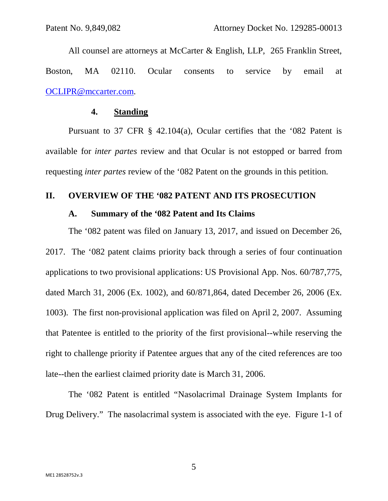All counsel are attorneys at McCarter & English, LLP, 265 Franklin Street, Boston, MA 02110. Ocular consents to service by email at OCLIPR@mccarter.com.

#### **4. Standing**

Pursuant to 37 CFR § 42.104(a), Ocular certifies that the '082 Patent is available for *inter partes* review and that Ocular is not estopped or barred from requesting *inter partes* review of the '082 Patent on the grounds in this petition.

#### **II. OVERVIEW OF THE '082 PATENT AND ITS PROSECUTION**

#### **A. Summary of the '082 Patent and Its Claims**

The '082 patent was filed on January 13, 2017, and issued on December 26, 2017. The '082 patent claims priority back through a series of four continuation applications to two provisional applications: US Provisional App. Nos. 60/787,775, dated March 31, 2006 (Ex. 1002), and 60/871,864, dated December 26, 2006 (Ex. 1003). The first non-provisional application was filed on April 2, 2007. Assuming that Patentee is entitled to the priority of the first provisional--while reserving the right to challenge priority if Patentee argues that any of the cited references are too late--then the earliest claimed priority date is March 31, 2006.

The '082 Patent is entitled "Nasolacrimal Drainage System Implants for Drug Delivery." The nasolacrimal system is associated with the eye. Figure 1-1 of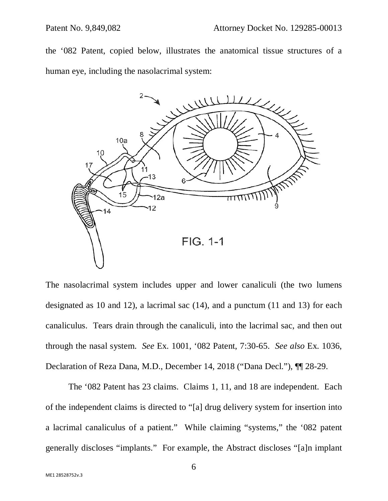the '082 Patent, copied below, illustrates the anatomical tissue structures of a human eye, including the nasolacrimal system:



The nasolacrimal system includes upper and lower canaliculi (the two lumens designated as 10 and 12), a lacrimal sac (14), and a punctum (11 and 13) for each canaliculus. Tears drain through the canaliculi, into the lacrimal sac, and then out through the nasal system. *See* Ex. 1001, '082 Patent, 7:30-65. *See also* Ex. 1036, Declaration of Reza Dana, M.D., December 14, 2018 ("Dana Decl."), ¶¶ 28-29.

The '082 Patent has 23 claims. Claims 1, 11, and 18 are independent. Each of the independent claims is directed to "[a] drug delivery system for insertion into a lacrimal canaliculus of a patient." While claiming "systems," the '082 patent generally discloses "implants." For example, the Abstract discloses "[a]n implant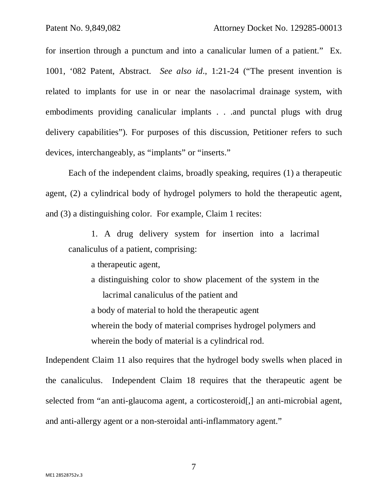for insertion through a punctum and into a canalicular lumen of a patient." Ex. 1001, '082 Patent, Abstract. *See also id*., 1:21-24 ("The present invention is related to implants for use in or near the nasolacrimal drainage system, with embodiments providing canalicular implants . . .and punctal plugs with drug delivery capabilities"). For purposes of this discussion, Petitioner refers to such devices, interchangeably, as "implants" or "inserts."

Each of the independent claims, broadly speaking, requires (1) a therapeutic agent, (2) a cylindrical body of hydrogel polymers to hold the therapeutic agent, and (3) a distinguishing color. For example, Claim 1 recites:

1. A drug delivery system for insertion into a lacrimal canaliculus of a patient, comprising:

a therapeutic agent,

a distinguishing color to show placement of the system in the lacrimal canaliculus of the patient and a body of material to hold the therapeutic agent wherein the body of material comprises hydrogel polymers and wherein the body of material is a cylindrical rod.

Independent Claim 11 also requires that the hydrogel body swells when placed in the canaliculus. Independent Claim 18 requires that the therapeutic agent be selected from "an anti-glaucoma agent, a corticosteroid[,] an anti-microbial agent, and anti-allergy agent or a non-steroidal anti-inflammatory agent."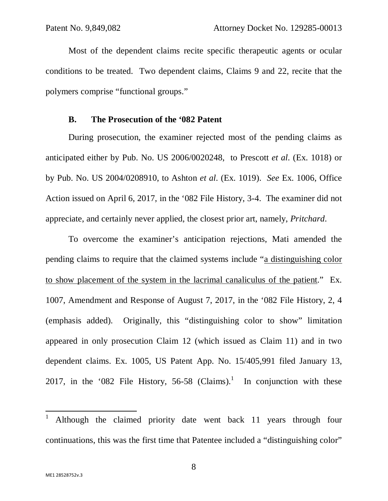Most of the dependent claims recite specific therapeutic agents or ocular conditions to be treated. Two dependent claims, Claims 9 and 22, recite that the polymers comprise "functional groups."

#### **B. The Prosecution of the '082 Patent**

During prosecution, the examiner rejected most of the pending claims as anticipated either by Pub. No. US 2006/0020248, to Prescott *et al*. (Ex. 1018) or by Pub. No. US 2004/0208910, to Ashton *et al*. (Ex. 1019). *See* Ex. 1006, Office Action issued on April 6, 2017, in the '082 File History, 3-4. The examiner did not appreciate, and certainly never applied, the closest prior art, namely, *Pritchard*.

To overcome the examiner's anticipation rejections, Mati amended the pending claims to require that the claimed systems include "a distinguishing color to show placement of the system in the lacrimal canaliculus of the patient." Ex. 1007, Amendment and Response of August 7, 2017, in the '082 File History, 2, 4 (emphasis added). Originally, this "distinguishing color to show" limitation appeared in only prosecution Claim 12 (which issued as Claim 11) and in two dependent claims. Ex. 1005, US Patent App. No. 15/405,991 filed January 13, 2017, in the '082 File History, 56-58 (Claims).<sup>1</sup> In conjunction with these

 $\overline{a}$ 

<sup>1</sup> Although the claimed priority date went back 11 years through four continuations, this was the first time that Patentee included a "distinguishing color"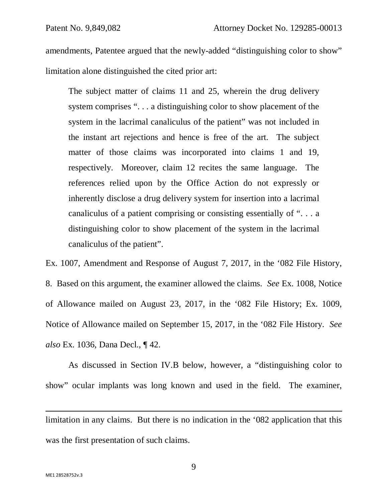amendments, Patentee argued that the newly-added "distinguishing color to show" limitation alone distinguished the cited prior art:

The subject matter of claims 11 and 25, wherein the drug delivery system comprises "... a distinguishing color to show placement of the system in the lacrimal canaliculus of the patient" was not included in the instant art rejections and hence is free of the art. The subject matter of those claims was incorporated into claims 1 and 19, respectively. Moreover, claim 12 recites the same language. The references relied upon by the Office Action do not expressly or inherently disclose a drug delivery system for insertion into a lacrimal canaliculus of a patient comprising or consisting essentially of ". . . a distinguishing color to show placement of the system in the lacrimal canaliculus of the patient".

Ex. 1007, Amendment and Response of August 7, 2017, in the '082 File History, 8. Based on this argument, the examiner allowed the claims. *See* Ex. 1008, Notice of Allowance mailed on August 23, 2017, in the '082 File History; Ex. 1009, Notice of Allowance mailed on September 15, 2017, in the '082 File History. *See also* Ex. 1036, Dana Decl., ¶ 42.

 As discussed in Section IV.B below, however, a "distinguishing color to show" ocular implants was long known and used in the field. The examiner,

limitation in any claims. But there is no indication in the '082 application that this was the first presentation of such claims.

 $\overline{a}$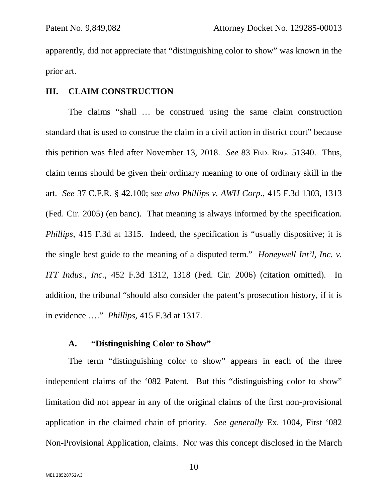apparently, did not appreciate that "distinguishing color to show" was known in the prior art.

#### **III. CLAIM CONSTRUCTION**

 The claims "shall … be construed using the same claim construction standard that is used to construe the claim in a civil action in district court" because this petition was filed after November 13, 2018. *See* 83 FED. REG. 51340. Thus, claim terms should be given their ordinary meaning to one of ordinary skill in the art. *See* 37 C.F.R. § 42.100; *see also Phillips v. AWH Corp*., 415 F.3d 1303, 1313 (Fed. Cir. 2005) (en banc). That meaning is always informed by the specification. *Phillips*, 415 F.3d at 1315. Indeed, the specification is "usually dispositive; it is the single best guide to the meaning of a disputed term." *Honeywell Int'l, Inc. v. ITT Indus., Inc.*, 452 F.3d 1312, 1318 (Fed. Cir. 2006) (citation omitted). In addition, the tribunal "should also consider the patent's prosecution history, if it is in evidence …." *Phillips*, 415 F.3d at 1317.

### **A. "Distinguishing Color to Show"**

The term "distinguishing color to show" appears in each of the three independent claims of the '082 Patent. But this "distinguishing color to show" limitation did not appear in any of the original claims of the first non-provisional application in the claimed chain of priority. *See generally* Ex. 1004, First '082 Non-Provisional Application, claims. Nor was this concept disclosed in the March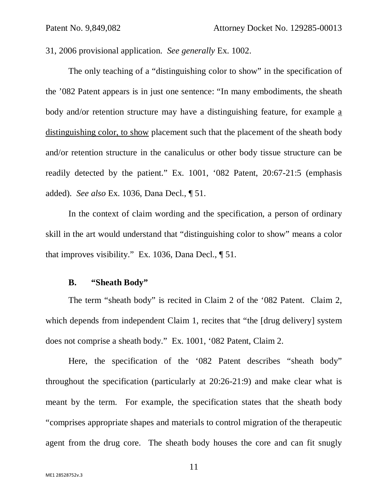31, 2006 provisional application. *See generally* Ex. 1002.

The only teaching of a "distinguishing color to show" in the specification of the '082 Patent appears is in just one sentence: "In many embodiments, the sheath body and/or retention structure may have a distinguishing feature, for example a distinguishing color, to show placement such that the placement of the sheath body and/or retention structure in the canaliculus or other body tissue structure can be readily detected by the patient." Ex. 1001, '082 Patent, 20:67-21:5 (emphasis added). *See also* Ex. 1036, Dana Decl., ¶ 51.

In the context of claim wording and the specification, a person of ordinary skill in the art would understand that "distinguishing color to show" means a color that improves visibility." Ex. 1036, Dana Decl., ¶ 51.

#### **B. "Sheath Body"**

The term "sheath body" is recited in Claim 2 of the '082 Patent. Claim 2, which depends from independent Claim 1, recites that "the [drug delivery] system does not comprise a sheath body." Ex. 1001, '082 Patent, Claim 2.

Here, the specification of the '082 Patent describes "sheath body" throughout the specification (particularly at 20:26-21:9) and make clear what is meant by the term. For example, the specification states that the sheath body "comprises appropriate shapes and materials to control migration of the therapeutic agent from the drug core. The sheath body houses the core and can fit snugly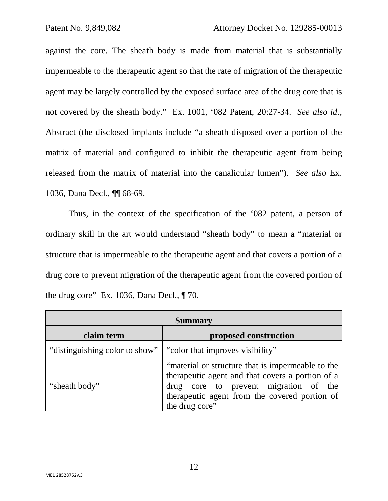against the core. The sheath body is made from material that is substantially impermeable to the therapeutic agent so that the rate of migration of the therapeutic agent may be largely controlled by the exposed surface area of the drug core that is not covered by the sheath body." Ex. 1001, '082 Patent, 20:27-34. *See also id*., Abstract (the disclosed implants include "a sheath disposed over a portion of the matrix of material and configured to inhibit the therapeutic agent from being released from the matrix of material into the canalicular lumen"). *See also* Ex. 1036, Dana Decl., ¶¶ 68-69.

Thus, in the context of the specification of the '082 patent, a person of ordinary skill in the art would understand "sheath body" to mean a "material or structure that is impermeable to the therapeutic agent and that covers a portion of a drug core to prevent migration of the therapeutic agent from the covered portion of the drug core" Ex. 1036, Dana Decl., ¶ 70.

| <b>Summary</b>                 |                                                                                                                                                                                                                   |  |
|--------------------------------|-------------------------------------------------------------------------------------------------------------------------------------------------------------------------------------------------------------------|--|
| claim term                     | proposed construction                                                                                                                                                                                             |  |
| "distinguishing color to show" | "color that improves visibility"                                                                                                                                                                                  |  |
| "sheath body"                  | "material or structure that is impermeable to the<br>therapeutic agent and that covers a portion of a<br>drug core to prevent migration of the<br>therapeutic agent from the covered portion of<br>the drug core" |  |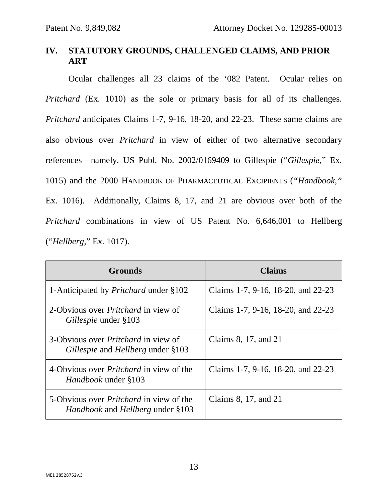# **IV. STATUTORY GROUNDS, CHALLENGED CLAIMS, AND PRIOR ART**

Ocular challenges all 23 claims of the '082 Patent. Ocular relies on *Pritchard* (Ex. 1010) as the sole or primary basis for all of its challenges. *Pritchard* anticipates Claims 1-7, 9-16, 18-20, and 22-23. These same claims are also obvious over *Pritchard* in view of either of two alternative secondary references—namely, US Publ. No. 2002/0169409 to Gillespie ("*Gillespie*," Ex. 1015) and the 2000 HANDBOOK OF PHARMACEUTICAL EXCIPIENTS (*"Handbook,"*  Ex. 1016). Additionally, Claims 8, 17, and 21 are obvious over both of the *Pritchard* combinations in view of US Patent No. 6,646,001 to Hellberg ("*Hellberg*," Ex. 1017).

| <b>Grounds</b>                                                                                   | Claims                             |
|--------------------------------------------------------------------------------------------------|------------------------------------|
| 1-Anticipated by <i>Pritchard</i> under §102                                                     | Claims 1-7, 9-16, 18-20, and 22-23 |
| 2-Obvious over <i>Pritchard</i> in view of<br><i>Gillespie</i> under §103                        | Claims 1-7, 9-16, 18-20, and 22-23 |
| 3-Obvious over <i>Pritchard</i> in view of<br><i>Gillespie</i> and <i>Hellberg</i> under §103    | Claims 8, 17, and 21               |
| 4-Obvious over <i>Pritchard</i> in view of the<br><i>Handbook</i> under §103                     | Claims 1-7, 9-16, 18-20, and 22-23 |
| 5-Obvious over <i>Pritchard</i> in view of the<br><i>Handbook</i> and <i>Hellberg</i> under §103 | Claims 8, 17, and 21               |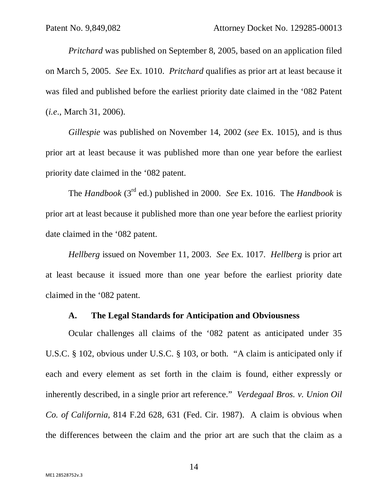*Pritchard* was published on September 8, 2005, based on an application filed on March 5, 2005. *See* Ex. 1010. *Pritchard* qualifies as prior art at least because it was filed and published before the earliest priority date claimed in the '082 Patent (*i.e*., March 31, 2006).

*Gillespie* was published on November 14, 2002 (*see* Ex. 1015), and is thus prior art at least because it was published more than one year before the earliest priority date claimed in the '082 patent.

The *Handbook* (3rd ed.) published in 2000. *See* Ex. 1016. The *Handbook* is prior art at least because it published more than one year before the earliest priority date claimed in the '082 patent.

*Hellberg* issued on November 11, 2003. *See* Ex. 1017. *Hellberg* is prior art at least because it issued more than one year before the earliest priority date claimed in the '082 patent.

#### **A. The Legal Standards for Anticipation and Obviousness**

Ocular challenges all claims of the '082 patent as anticipated under 35 U.S.C. § 102, obvious under U.S.C. § 103, or both. "A claim is anticipated only if each and every element as set forth in the claim is found, either expressly or inherently described, in a single prior art reference." *Verdegaal Bros. v. Union Oil Co. of California,* 814 F.2d 628, 631 (Fed. Cir. 1987). A claim is obvious when the differences between the claim and the prior art are such that the claim as a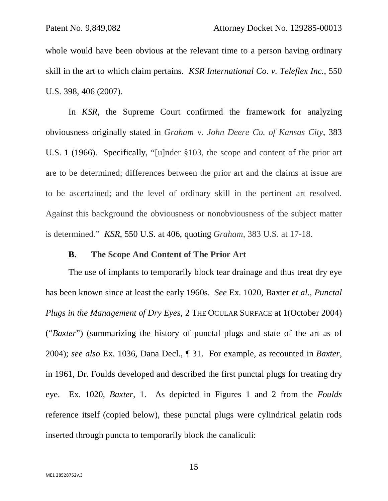whole would have been obvious at the relevant time to a person having ordinary skill in the art to which claim pertains. *KSR International Co. v. Teleflex Inc.*, 550 U.S. 398, 406 (2007).

In *KSR*, the Supreme Court confirmed the framework for analyzing obviousness originally stated in *Graham* v. *John Deere Co. of Kansas City*, 383 U.S. 1 (1966). Specifically, "[u]nder §103, the scope and content of the prior art are to be determined; differences between the prior art and the claims at issue are to be ascertained; and the level of ordinary skill in the pertinent art resolved. Against this background the obviousness or nonobviousness of the subject matter is determined." *KSR*, 550 U.S. at 406, quoting *Graham*, 383 U.S. at 17-18.

#### **B. The Scope And Content of The Prior Art**

 The use of implants to temporarily block tear drainage and thus treat dry eye has been known since at least the early 1960s. *See* Ex. 1020, Baxter *et al*., *Punctal Plugs in the Management of Dry Eyes*, 2 THE OCULAR SURFACE at 1(October 2004) ("*Baxter*") (summarizing the history of punctal plugs and state of the art as of 2004); *see also* Ex. 1036, Dana Decl., ¶ 31. For example, as recounted in *Baxter*, in 1961, Dr. Foulds developed and described the first punctal plugs for treating dry eye. Ex. 1020, *Baxter*, 1. As depicted in Figures 1 and 2 from the *Foulds* reference itself (copied below), these punctal plugs were cylindrical gelatin rods inserted through puncta to temporarily block the canaliculi: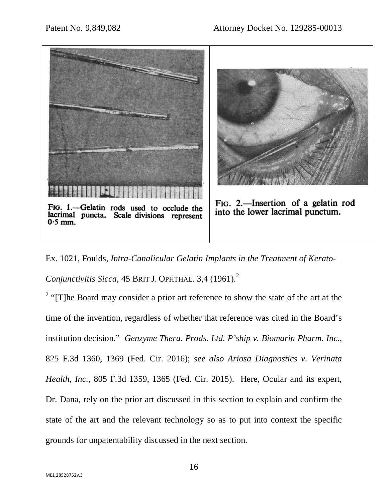

Ex. 1021, Foulds, *Intra-Canalicular Gelatin Implants in the Treatment of Kerato-Conjunctivitis Sicca,* 45 BRIT J. OPHTHAL. 3,4 (1961).<sup>2</sup>  $\overline{a}$ 

<sup>2</sup> "[T]he Board may consider a prior art reference to show the state of the art at the time of the invention, regardless of whether that reference was cited in the Board's institution decision." *Genzyme Thera. Prods. Ltd. P'ship v. Biomarin Pharm. Inc.*, 825 F.3d 1360, 1369 (Fed. Cir. 2016); *see also Ariosa Diagnostics v. Verinata Health, Inc.*, 805 F.3d 1359, 1365 (Fed. Cir. 2015). Here, Ocular and its expert, Dr. Dana, rely on the prior art discussed in this section to explain and confirm the state of the art and the relevant technology so as to put into context the specific grounds for unpatentability discussed in the next section.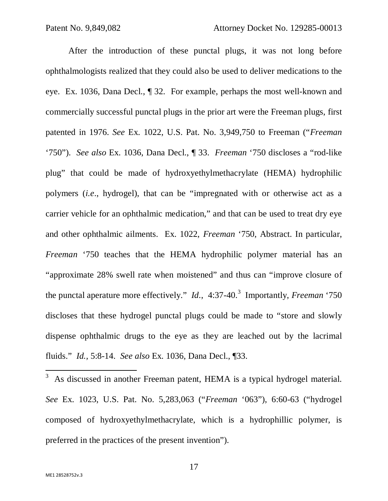After the introduction of these punctal plugs, it was not long before ophthalmologists realized that they could also be used to deliver medications to the eye. Ex. 1036, Dana Decl., ¶ 32. For example, perhaps the most well-known and commercially successful punctal plugs in the prior art were the Freeman plugs, first patented in 1976. *See* Ex. 1022, U.S. Pat. No. 3,949,750 to Freeman ("*Freeman* '750"). *See also* Ex. 1036, Dana Decl., ¶ 33. *Freeman* '750 discloses a "rod-like plug" that could be made of hydroxyethylmethacrylate (HEMA) hydrophilic polymers (*i.e*., hydrogel), that can be "impregnated with or otherwise act as a carrier vehicle for an ophthalmic medication," and that can be used to treat dry eye and other ophthalmic ailments. Ex. 1022, *Freeman* '750, Abstract. In particular, *Freeman* '750 teaches that the HEMA hydrophilic polymer material has an "approximate 28% swell rate when moistened" and thus can "improve closure of the punctal aperature more effectively." *Id.*, 4:37-40.<sup>3</sup> Importantly, *Freeman* '750 discloses that these hydrogel punctal plugs could be made to "store and slowly dispense ophthalmic drugs to the eye as they are leached out by the lacrimal fluids." *Id.,* 5:8-14. *See also* Ex. 1036, Dana Decl., ¶33.

3 As discussed in another Freeman patent, HEMA is a typical hydrogel material. *See* Ex. 1023, U.S. Pat. No. 5,283,063 ("*Freeman* '063"), 6:60-63 ("hydrogel composed of hydroxyethylmethacrylate, which is a hydrophillic polymer, is preferred in the practices of the present invention").

 $\overline{a}$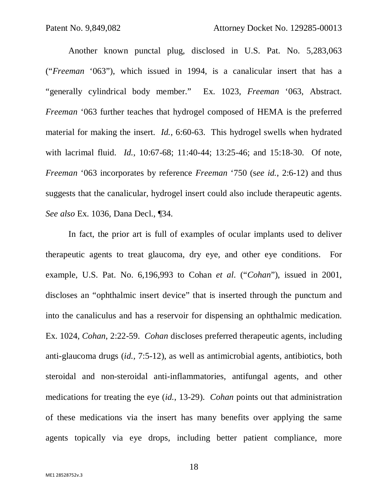Another known punctal plug, disclosed in U.S. Pat. No. 5,283,063 ("*Freeman* '063"), which issued in 1994, is a canalicular insert that has a "generally cylindrical body member." Ex. 1023, *Freeman* '063, Abstract. *Freeman* '063 further teaches that hydrogel composed of HEMA is the preferred material for making the insert. *Id.,* 6:60-63. This hydrogel swells when hydrated with lacrimal fluid. *Id.*, 10:67-68; 11:40-44; 13:25-46; and 15:18-30. Of note, *Freeman* '063 incorporates by reference *Freeman* '750 (s*ee id.*, 2:6-12) and thus suggests that the canalicular, hydrogel insert could also include therapeutic agents. *See also* Ex. 1036, Dana Decl., ¶34.

 In fact, the prior art is full of examples of ocular implants used to deliver therapeutic agents to treat glaucoma, dry eye, and other eye conditions. For example, U.S. Pat. No. 6,196,993 to Cohan *et al*. ("*Cohan*"), issued in 2001, discloses an "ophthalmic insert device" that is inserted through the punctum and into the canaliculus and has a reservoir for dispensing an ophthalmic medication. Ex. 1024, *Cohan*, 2:22-59. *Cohan* discloses preferred therapeutic agents, including anti-glaucoma drugs (*id.,* 7:5-12), as well as antimicrobial agents, antibiotics, both steroidal and non-steroidal anti-inflammatories, antifungal agents, and other medications for treating the eye (*id.*, 13-29). *Cohan* points out that administration of these medications via the insert has many benefits over applying the same agents topically via eye drops, including better patient compliance, more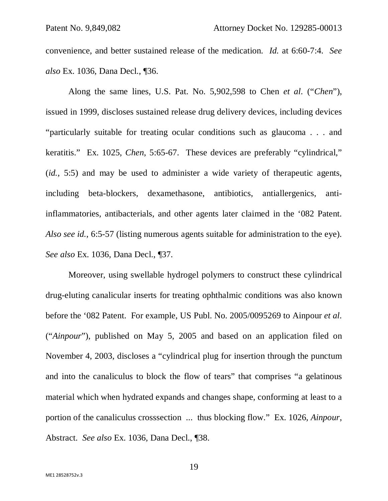convenience, and better sustained release of the medication. *Id.* at 6:60-7:4. *See also* Ex. 1036, Dana Decl., ¶36.

 Along the same lines, U.S. Pat. No. 5,902,598 to Chen *et al*. ("*Chen*"), issued in 1999, discloses sustained release drug delivery devices, including devices "particularly suitable for treating ocular conditions such as glaucoma . . . and keratitis." Ex. 1025, *Chen*, 5:65-67. These devices are preferably "cylindrical," (*id.*, 5:5) and may be used to administer a wide variety of therapeutic agents, including beta-blockers, dexamethasone, antibiotics, antiallergenics, antiinflammatories, antibacterials, and other agents later claimed in the '082 Patent. *Also see id.*, 6:5-57 (listing numerous agents suitable for administration to the eye). *See also* Ex. 1036, Dana Decl., ¶37.

 Moreover, using swellable hydrogel polymers to construct these cylindrical drug-eluting canalicular inserts for treating ophthalmic conditions was also known before the '082 Patent. For example, US Publ. No. 2005/0095269 to Ainpour *et al*. ("*Ainpour*"), published on May 5, 2005 and based on an application filed on November 4, 2003, discloses a "cylindrical plug for insertion through the punctum and into the canaliculus to block the flow of tears" that comprises "a gelatinous material which when hydrated expands and changes shape, conforming at least to a portion of the canaliculus crosssection ... thus blocking flow." Ex. 1026, *Ainpour*, Abstract. *See also* Ex. 1036, Dana Decl., ¶38.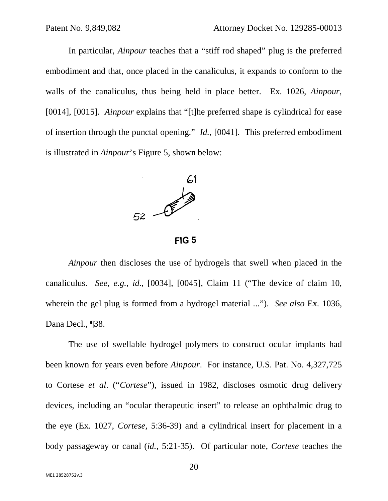In particular, *Ainpour* teaches that a "stiff rod shaped" plug is the preferred embodiment and that, once placed in the canaliculus, it expands to conform to the walls of the canaliculus, thus being held in place better. Ex. 1026, *Ainpour*, [0014], [0015]. *Ainpour* explains that "[t]he preferred shape is cylindrical for ease of insertion through the punctal opening." *Id.,* [0041]. This preferred embodiment is illustrated in *Ainpour*'s Figure 5, shown below:



 $FIG 5$ 

 *Ainpour* then discloses the use of hydrogels that swell when placed in the canaliculus. *See*, *e.g.*, *id.,* [0034], [0045], Claim 11 ("The device of claim 10, wherein the gel plug is formed from a hydrogel material ..."). *See also* Ex. 1036, Dana Decl., ¶38.

 The use of swellable hydrogel polymers to construct ocular implants had been known for years even before *Ainpour*. For instance, U.S. Pat. No. 4,327,725 to Cortese *et al*. ("*Cortese*"), issued in 1982, discloses osmotic drug delivery devices, including an "ocular therapeutic insert" to release an ophthalmic drug to the eye (Ex. 1027, *Cortese,* 5:36-39) and a cylindrical insert for placement in a body passageway or canal (*id.,* 5:21-35). Of particular note, *Cortese* teaches the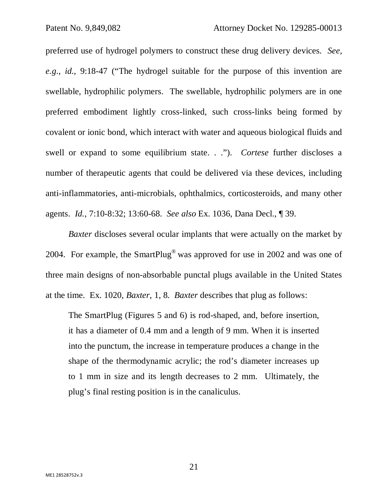preferred use of hydrogel polymers to construct these drug delivery devices. *See, e.g*., *id.*, 9:18-47 ("The hydrogel suitable for the purpose of this invention are swellable, hydrophilic polymers. The swellable, hydrophilic polymers are in one preferred embodiment lightly cross-linked, such cross-links being formed by covalent or ionic bond, which interact with water and aqueous biological fluids and swell or expand to some equilibrium state. . ."). *Cortese* further discloses a number of therapeutic agents that could be delivered via these devices, including anti-inflammatories, anti-microbials, ophthalmics, corticosteroids, and many other agents. *Id.*, 7:10-8:32; 13:60-68. *See also* Ex. 1036, Dana Decl., ¶ 39.

*Baxter* discloses several ocular implants that were actually on the market by 2004. For example, the SmartPlug® was approved for use in 2002 and was one of three main designs of non-absorbable punctal plugs available in the United States at the time. Ex. 1020, *Baxter*, 1, 8. *Baxter* describes that plug as follows:

The SmartPlug (Figures 5 and 6) is rod-shaped, and, before insertion, it has a diameter of 0.4 mm and a length of 9 mm. When it is inserted into the punctum, the increase in temperature produces a change in the shape of the thermodynamic acrylic; the rod's diameter increases up to 1 mm in size and its length decreases to 2 mm. Ultimately, the plug's final resting position is in the canaliculus.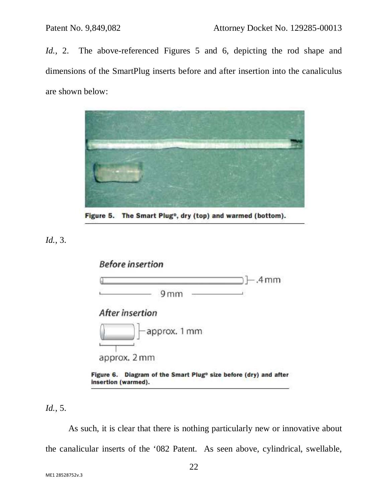*Id.*, 2. The above-referenced Figures 5 and 6, depicting the rod shape and dimensions of the SmartPlug inserts before and after insertion into the canaliculus are shown below:



Figure 5. The Smart Plug<sup>®</sup>, dry (top) and warmed (bottom).

*Id.*, 3.



*Id.*, 5.

 As such, it is clear that there is nothing particularly new or innovative about the canalicular inserts of the '082 Patent. As seen above, cylindrical, swellable,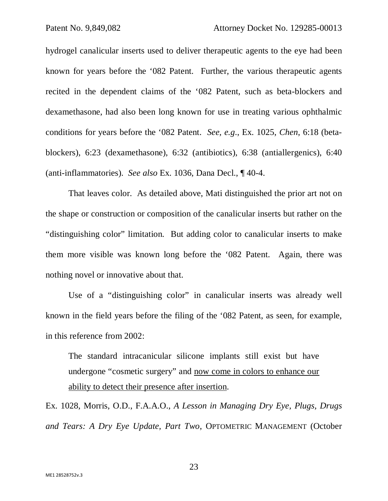hydrogel canalicular inserts used to deliver therapeutic agents to the eye had been known for years before the '082 Patent. Further, the various therapeutic agents recited in the dependent claims of the '082 Patent, such as beta-blockers and dexamethasone, had also been long known for use in treating various ophthalmic conditions for years before the '082 Patent. *See, e.g*., Ex. 1025, *Chen*, 6:18 (betablockers), 6:23 (dexamethasone), 6:32 (antibiotics), 6:38 (antiallergenics), 6:40 (anti-inflammatories). *See also* Ex. 1036, Dana Decl., ¶ 40-4.

 That leaves color. As detailed above, Mati distinguished the prior art not on the shape or construction or composition of the canalicular inserts but rather on the "distinguishing color" limitation. But adding color to canalicular inserts to make them more visible was known long before the '082 Patent. Again, there was nothing novel or innovative about that.

 Use of a "distinguishing color" in canalicular inserts was already well known in the field years before the filing of the '082 Patent, as seen, for example, in this reference from 2002:

The standard intracanicular silicone implants still exist but have undergone "cosmetic surgery" and now come in colors to enhance our ability to detect their presence after insertion.

Ex. 1028, Morris, O.D., F.A.A.O., *A Lesson in Managing Dry Eye, Plugs, Drugs and Tears: A Dry Eye Update, Part Two*, OPTOMETRIC MANAGEMENT (October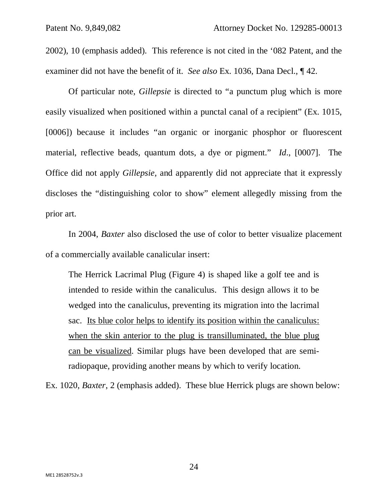2002), 10 (emphasis added). This reference is not cited in the '082 Patent, and the examiner did not have the benefit of it. *See also* Ex. 1036, Dana Decl., ¶ 42.

 Of particular note, *Gillepsie* is directed to "a punctum plug which is more easily visualized when positioned within a punctal canal of a recipient" (Ex. 1015, [0006]) because it includes "an organic or inorganic phosphor or fluorescent material, reflective beads, quantum dots, a dye or pigment." *Id*., [0007]. The Office did not apply *Gillepsie*, and apparently did not appreciate that it expressly discloses the "distinguishing color to show" element allegedly missing from the prior art.

 In 2004, *Baxter* also disclosed the use of color to better visualize placement of a commercially available canalicular insert:

The Herrick Lacrimal Plug (Figure 4) is shaped like a golf tee and is intended to reside within the canaliculus. This design allows it to be wedged into the canaliculus, preventing its migration into the lacrimal sac. Its blue color helps to identify its position within the canaliculus: when the skin anterior to the plug is transilluminated, the blue plug can be visualized. Similar plugs have been developed that are semiradiopaque, providing another means by which to verify location.

Ex. 1020, *Baxter*, 2 (emphasis added). These blue Herrick plugs are shown below: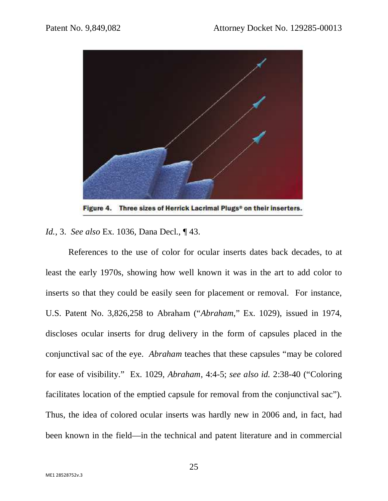

Three sizes of Herrick Lacrimal Plugs<sup>®</sup> on their inserters. Figure 4.

*Id.*, 3. *See also* Ex. 1036, Dana Decl., ¶ 43.

 References to the use of color for ocular inserts dates back decades, to at least the early 1970s, showing how well known it was in the art to add color to inserts so that they could be easily seen for placement or removal. For instance, U.S. Patent No. 3,826,258 to Abraham ("*Abraham*," Ex. 1029), issued in 1974, discloses ocular inserts for drug delivery in the form of capsules placed in the conjunctival sac of the eye. *Abraham* teaches that these capsules "may be colored for ease of visibility." Ex. 1029, *Abraham,* 4:4-5; *see also id.* 2:38-40 ("Coloring facilitates location of the emptied capsule for removal from the conjunctival sac"). Thus, the idea of colored ocular inserts was hardly new in 2006 and, in fact, had been known in the field—in the technical and patent literature and in commercial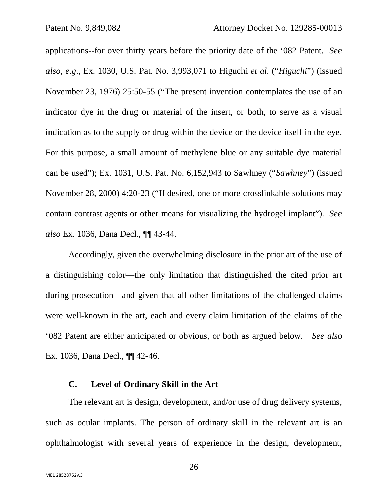applications--for over thirty years before the priority date of the '082 Patent. *See also, e.g*., Ex. 1030, U.S. Pat. No. 3,993,071 to Higuchi *et al*. ("*Higuchi*") (issued November 23, 1976) 25:50-55 ("The present invention contemplates the use of an indicator dye in the drug or material of the insert, or both, to serve as a visual indication as to the supply or drug within the device or the device itself in the eye. For this purpose, a small amount of methylene blue or any suitable dye material can be used"); Ex. 1031, U.S. Pat. No. 6,152,943 to Sawhney ("*Sawhney*") (issued November 28, 2000) 4:20-23 ("If desired, one or more crosslinkable solutions may contain contrast agents or other means for visualizing the hydrogel implant"). *See also* Ex. 1036, Dana Decl., ¶¶ 43-44.

 Accordingly, given the overwhelming disclosure in the prior art of the use of a distinguishing color—the only limitation that distinguished the cited prior art during prosecution—and given that all other limitations of the challenged claims were well-known in the art, each and every claim limitation of the claims of the '082 Patent are either anticipated or obvious, or both as argued below. *See also* Ex. 1036, Dana Decl., ¶¶ 42-46.

### **C. Level of Ordinary Skill in the Art**

The relevant art is design, development, and/or use of drug delivery systems, such as ocular implants. The person of ordinary skill in the relevant art is an ophthalmologist with several years of experience in the design, development,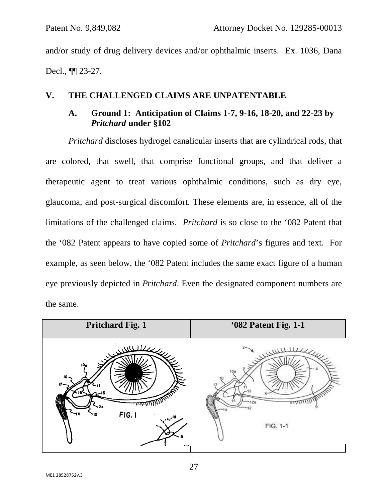and/or study of drug delivery devices and/or ophthalmic inserts. Ex. 1036, Dana Decl., ¶¶ 23-27.

### **V. THE CHALLENGED CLAIMS ARE UNPATENTABLE**

## **A. Ground 1: Anticipation of Claims 1-7, 9-16, 18-20, and 22-23 by**  *Pritchard* **under §102**

*Pritchard* discloses hydrogel canalicular inserts that are cylindrical rods, that are colored, that swell, that comprise functional groups, and that deliver a therapeutic agent to treat various ophthalmic conditions, such as dry eye, glaucoma, and post-surgical discomfort. These elements are, in essence, all of the limitations of the challenged claims. *Pritchard* is so close to the '082 Patent that the '082 Patent appears to have copied some of *Pritchard*'s figures and text. For example, as seen below, the '082 Patent includes the same exact figure of a human eye previously depicted in *Pritchard*. Even the designated component numbers are the same.

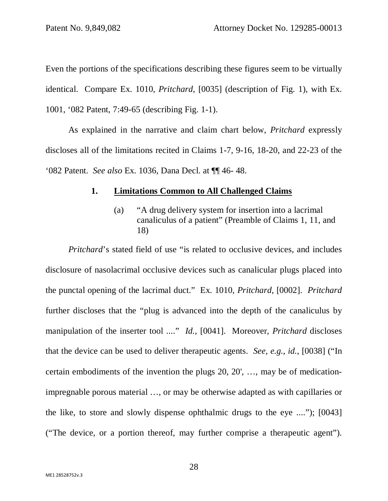Even the portions of the specifications describing these figures seem to be virtually identical. Compare Ex. 1010, *Pritchard*, [0035] (description of Fig. 1), with Ex. 1001, '082 Patent, 7:49-65 (describing Fig. 1-1).

As explained in the narrative and claim chart below, *Pritchard* expressly discloses all of the limitations recited in Claims 1-7, 9-16, 18-20, and 22-23 of the '082 Patent. *See also* Ex. 1036, Dana Decl. at ¶¶ 46- 48.

#### **1. Limitations Common to All Challenged Claims**

(a) "A drug delivery system for insertion into a lacrimal canaliculus of a patient" (Preamble of Claims 1, 11, and 18)

*Pritchard*'s stated field of use "is related to occlusive devices, and includes disclosure of nasolacrimal occlusive devices such as canalicular plugs placed into the punctal opening of the lacrimal duct." Ex. 1010, *Pritchard*, [0002]. *Pritchard* further discloses that the "plug is advanced into the depth of the canaliculus by manipulation of the inserter tool ...." *Id.*, [0041]. Moreover, *Pritchard* discloses that the device can be used to deliver therapeutic agents. *See, e.g.*, *id.*, [0038] ("In certain embodiments of the invention the plugs 20, 20', …, may be of medicationimpregnable porous material …, or may be otherwise adapted as with capillaries or the like, to store and slowly dispense ophthalmic drugs to the eye ...."); [0043] ("The device, or a portion thereof, may further comprise a therapeutic agent").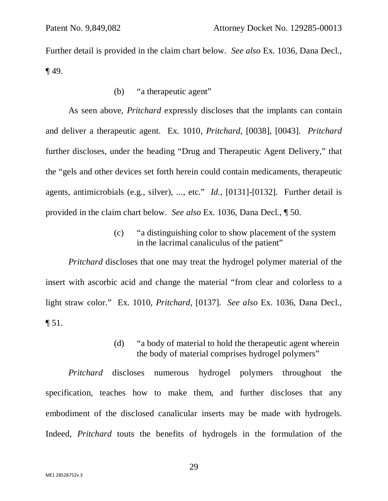Further detail is provided in the claim chart below. *See also* Ex. 1036, Dana Decl., ¶ 49.

(b) "a therapeutic agent"

As seen above, *Pritchard* expressly discloses that the implants can contain and deliver a therapeutic agent. Ex. 1010, *Pritchard,* [0038], [0043]. *Pritchard* further discloses, under the heading "Drug and Therapeutic Agent Delivery," that the "gels and other devices set forth herein could contain medicaments, therapeutic agents, antimicrobials (e.g., silver), ..., etc." *Id.,* [0131]-[0132]. Further detail is provided in the claim chart below. *See also* Ex. 1036, Dana Decl., ¶ 50.

> (c) "a distinguishing color to show placement of the system in the lacrimal canaliculus of the patient"

*Pritchard* discloses that one may treat the hydrogel polymer material of the insert with ascorbic acid and change the material "from clear and colorless to a light straw color." Ex. 1010, *Pritchard,* [0137]. *See also* Ex. 1036, Dana Decl., ¶ 51.

> (d) "a body of material to hold the therapeutic agent wherein the body of material comprises hydrogel polymers"

*Pritchard* discloses numerous hydrogel polymers throughout the specification, teaches how to make them, and further discloses that any embodiment of the disclosed canalicular inserts may be made with hydrogels. Indeed, *Pritchard* touts the benefits of hydrogels in the formulation of the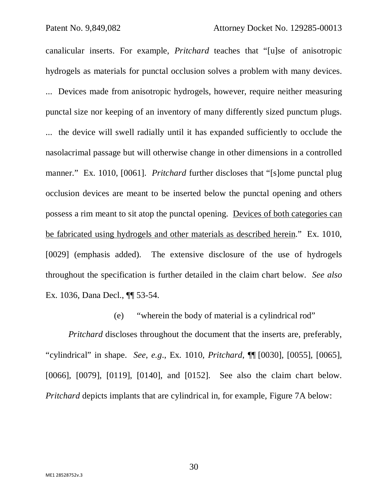canalicular inserts. For example, *Pritchard* teaches that "[u]se of anisotropic hydrogels as materials for punctal occlusion solves a problem with many devices. ... Devices made from anisotropic hydrogels, however, require neither measuring punctal size nor keeping of an inventory of many differently sized punctum plugs. ... the device will swell radially until it has expanded sufficiently to occlude the nasolacrimal passage but will otherwise change in other dimensions in a controlled manner." Ex. 1010, [0061]. *Pritchard* further discloses that "[s]ome punctal plug occlusion devices are meant to be inserted below the punctal opening and others possess a rim meant to sit atop the punctal opening. Devices of both categories can be fabricated using hydrogels and other materials as described herein." Ex. 1010, [0029] (emphasis added). The extensive disclosure of the use of hydrogels throughout the specification is further detailed in the claim chart below. *See also* Ex. 1036, Dana Decl., ¶¶ 53-54.

## (e) "wherein the body of material is a cylindrical rod"

*Pritchard* discloses throughout the document that the inserts are, preferably, "cylindrical" in shape. *See*, *e.g*., Ex. 1010, *Pritchard*, ¶¶ [0030], [0055], [0065], [0066], [0079], [0119], [0140], and [0152]. See also the claim chart below. *Pritchard* depicts implants that are cylindrical in, for example, Figure 7A below: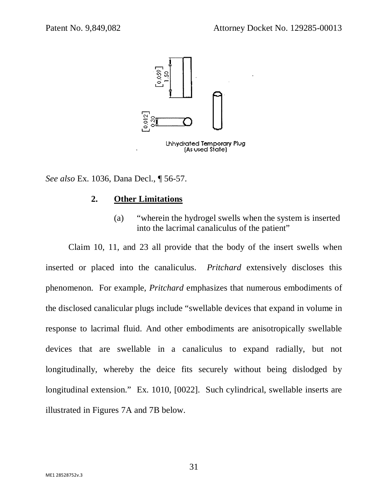

*See also* Ex. 1036, Dana Decl., ¶ 56-57.

## **2. Other Limitations**

(a) "wherein the hydrogel swells when the system is inserted into the lacrimal canaliculus of the patient"

Claim 10, 11, and 23 all provide that the body of the insert swells when inserted or placed into the canaliculus. *Pritchard* extensively discloses this phenomenon. For example, *Pritchard* emphasizes that numerous embodiments of the disclosed canalicular plugs include "swellable devices that expand in volume in response to lacrimal fluid. And other embodiments are anisotropically swellable devices that are swellable in a canaliculus to expand radially, but not longitudinally, whereby the deice fits securely without being dislodged by longitudinal extension." Ex. 1010, [0022]. Such cylindrical, swellable inserts are illustrated in Figures 7A and 7B below.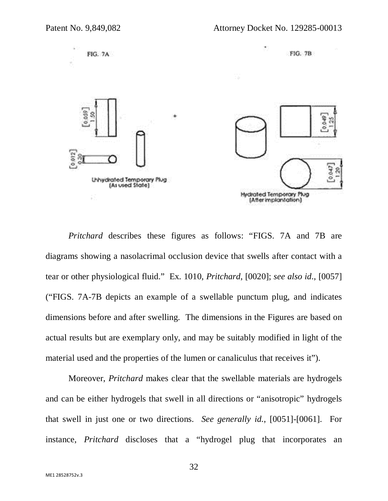

*Pritchard* describes these figures as follows: "FIGS. 7A and 7B are diagrams showing a nasolacrimal occlusion device that swells after contact with a tear or other physiological fluid." Ex. 1010, *Pritchard*, [0020]; *see also id*., [0057] ("FIGS. 7A-7B depicts an example of a swellable punctum plug, and indicates dimensions before and after swelling. The dimensions in the Figures are based on actual results but are exemplary only, and may be suitably modified in light of the material used and the properties of the lumen or canaliculus that receives it").

Moreover, *Pritchard* makes clear that the swellable materials are hydrogels and can be either hydrogels that swell in all directions or "anisotropic" hydrogels that swell in just one or two directions. *See generally id.*, [0051]-[0061]. For instance, *Pritchard* discloses that a "hydrogel plug that incorporates an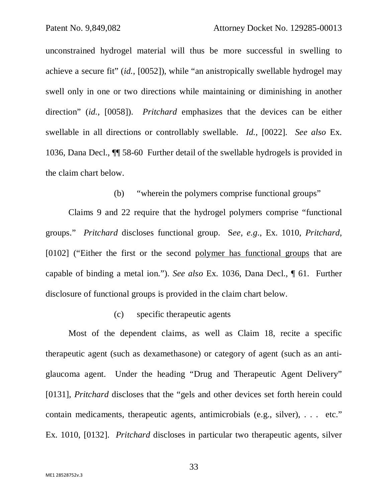unconstrained hydrogel material will thus be more successful in swelling to achieve a secure fit" (*id.*, [0052]), while "an anistropically swellable hydrogel may swell only in one or two directions while maintaining or diminishing in another direction" (*id.*, [0058]). *Pritchard* emphasizes that the devices can be either swellable in all directions or controllably swellable. *Id.*, [0022]. *See also* Ex. 1036, Dana Decl., ¶¶ 58-60 Further detail of the swellable hydrogels is provided in the claim chart below.

(b) "wherein the polymers comprise functional groups"

Claims 9 and 22 require that the hydrogel polymers comprise "functional groups." *Pritchard* discloses functional group. S*ee, e.g*., Ex. 1010, *Pritchard*, [0102] ("Either the first or the second polymer has functional groups that are capable of binding a metal ion."). *See also* Ex. 1036, Dana Decl., ¶ 61. Further disclosure of functional groups is provided in the claim chart below.

#### (c) specific therapeutic agents

Most of the dependent claims, as well as Claim 18, recite a specific therapeutic agent (such as dexamethasone) or category of agent (such as an antiglaucoma agent. Under the heading "Drug and Therapeutic Agent Delivery" [0131], *Pritchard* discloses that the "gels and other devices set forth herein could contain medicaments, therapeutic agents, antimicrobials (e.g., silver), . . . etc." Ex. 1010, [0132]. *Pritchard* discloses in particular two therapeutic agents, silver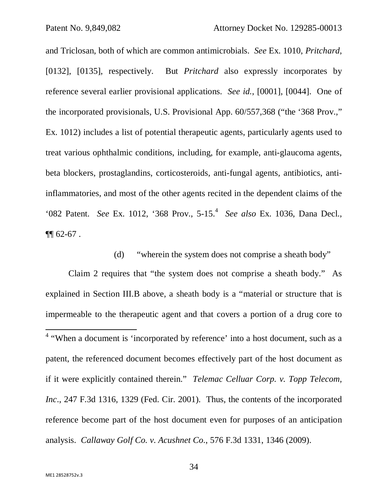and Triclosan, both of which are common antimicrobials. *See* Ex. 1010, *Pritchard*, [0132], [0135], respectively. But *Pritchard* also expressly incorporates by reference several earlier provisional applications. *See id.*, [0001], [0044]. One of the incorporated provisionals, U.S. Provisional App. 60/557,368 ("the '368 Prov.," Ex. 1012) includes a list of potential therapeutic agents, particularly agents used to treat various ophthalmic conditions, including, for example, anti-glaucoma agents, beta blockers, prostaglandins, corticosteroids, anti-fungal agents, antibiotics, antiinflammatories, and most of the other agents recited in the dependent claims of the '082 Patent. *See* Ex. 1012, '368 Prov., 5-15.<sup>4</sup> *See also* Ex. 1036, Dana Decl.,  $\P\P$  62-67.

(d) "wherein the system does not comprise a sheath body"

Claim 2 requires that "the system does not comprise a sheath body." As explained in Section III.B above, a sheath body is a "material or structure that is impermeable to the therapeutic agent and that covers a portion of a drug core to l <sup>4</sup> "When a document is 'incorporated by reference' into a host document, such as a patent, the referenced document becomes effectively part of the host document as if it were explicitly contained therein." *Telemac Celluar Corp. v. Topp Telecom, Inc*., 247 F.3d 1316, 1329 (Fed. Cir. 2001). Thus, the contents of the incorporated reference become part of the host document even for purposes of an anticipation analysis. *Callaway Golf Co. v. Acushnet Co*., 576 F.3d 1331, 1346 (2009).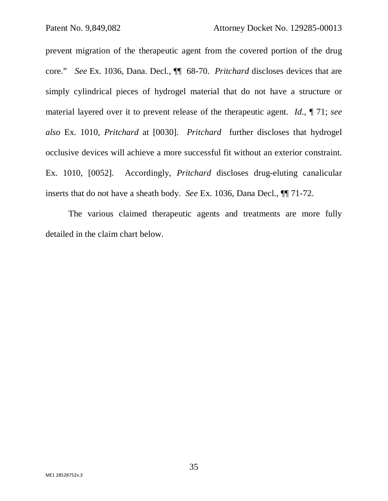prevent migration of the therapeutic agent from the covered portion of the drug core." *See* Ex. 1036, Dana. Decl., ¶¶ 68-70. *Pritchard* discloses devices that are simply cylindrical pieces of hydrogel material that do not have a structure or material layered over it to prevent release of the therapeutic agent. *Id*., ¶ 71; *see also* Ex. 1010, *Pritchard* at [0030]. *Pritchard* further discloses that hydrogel occlusive devices will achieve a more successful fit without an exterior constraint. Ex. 1010, [0052]. Accordingly, *Pritchard* discloses drug-eluting canalicular inserts that do not have a sheath body. *See* Ex. 1036, Dana Decl., ¶¶ 71-72.

The various claimed therapeutic agents and treatments are more fully detailed in the claim chart below.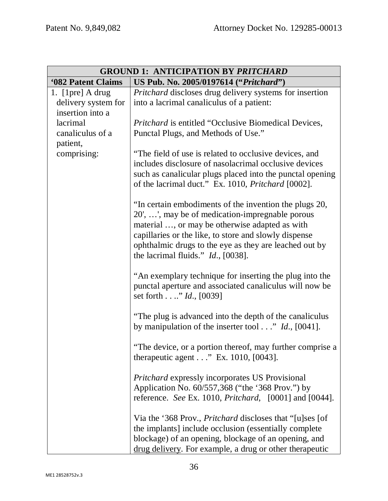| <b>GROUND 1: ANTICIPATION BY PRITCHARD</b> |                                                                                                                                                                                                                                                                                                                         |
|--------------------------------------------|-------------------------------------------------------------------------------------------------------------------------------------------------------------------------------------------------------------------------------------------------------------------------------------------------------------------------|
| '082 Patent Claims                         | US Pub. No. 2005/0197614 ("Pritchard")                                                                                                                                                                                                                                                                                  |
| 1. $[1pre]$ A drug                         | <i>Pritchard</i> discloses drug delivery systems for insertion                                                                                                                                                                                                                                                          |
| delivery system for                        | into a lacrimal canaliculus of a patient:                                                                                                                                                                                                                                                                               |
| insertion into a                           |                                                                                                                                                                                                                                                                                                                         |
| lacrimal                                   | <i>Pritchard</i> is entitled "Occlusive Biomedical Devices,                                                                                                                                                                                                                                                             |
| canaliculus of a                           | Punctal Plugs, and Methods of Use."                                                                                                                                                                                                                                                                                     |
| patient,<br>comprising:                    | "The field of use is related to occlusive devices, and                                                                                                                                                                                                                                                                  |
|                                            | includes disclosure of nasolacrimal occlusive devices                                                                                                                                                                                                                                                                   |
|                                            | such as canalicular plugs placed into the punctal opening                                                                                                                                                                                                                                                               |
|                                            | of the lacrimal duct." Ex. 1010, <i>Pritchard</i> [0002].                                                                                                                                                                                                                                                               |
|                                            | "In certain embodiments of the invention the plugs 20,<br>20', ', may be of medication-impregnable porous<br>material , or may be otherwise adapted as with<br>capillaries or the like, to store and slowly dispense<br>ophthalmic drugs to the eye as they are leached out by<br>the lacrimal fluids." $Id.$ , [0038]. |
|                                            | "An exemplary technique for inserting the plug into the<br>punctal aperture and associated canaliculus will now be<br>set forth." <i>Id.</i> , [0039]                                                                                                                                                                   |
|                                            | "The plug is advanced into the depth of the canaliculus"<br>by manipulation of the inserter tool" Id., $[0041]$ .                                                                                                                                                                                                       |
|                                            | "The device, or a portion thereof, may further comprise a<br>therapeutic agent $\ldots$ " Ex. 1010, [0043].                                                                                                                                                                                                             |
|                                            | <i>Pritchard</i> expressly incorporates US Provisional<br>Application No. 60/557,368 ("the '368 Prov.") by<br>reference. See Ex. 1010, Pritchard, [0001] and [0044].                                                                                                                                                    |
|                                            | Via the '368 Prov., <i>Pritchard</i> discloses that "[u]ses [of<br>the implants] include occlusion (essentially complete<br>blockage) of an opening, blockage of an opening, and<br>drug delivery. For example, a drug or other therapeutic                                                                             |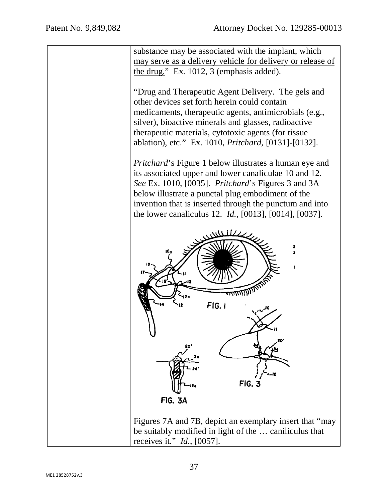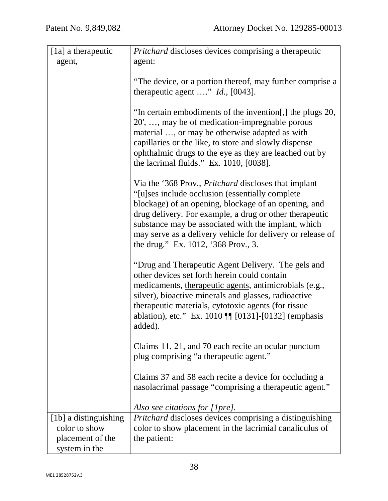| [1a] a therapeutic    | Pritchard discloses devices comprising a therapeutic                                                                                                                                                                                                                                                                                                                                            |
|-----------------------|-------------------------------------------------------------------------------------------------------------------------------------------------------------------------------------------------------------------------------------------------------------------------------------------------------------------------------------------------------------------------------------------------|
| agent,                | agent:                                                                                                                                                                                                                                                                                                                                                                                          |
|                       | "The device, or a portion thereof, may further comprise a<br>therapeutic agent " $Id.$ , [0043].                                                                                                                                                                                                                                                                                                |
|                       | "In certain embodiments of the invention[,] the plugs 20,<br>20', , may be of medication-impregnable porous<br>material , or may be otherwise adapted as with<br>capillaries or the like, to store and slowly dispense<br>ophthalmic drugs to the eye as they are leached out by<br>the lacrimal fluids." Ex. $1010$ , $[0038]$ .                                                               |
|                       | Via the '368 Prov., <i>Pritchard</i> discloses that implant<br>"[u]ses include occlusion (essentially complete)"<br>blockage) of an opening, blockage of an opening, and<br>drug delivery. For example, a drug or other therapeutic<br>substance may be associated with the implant, which<br>may serve as a delivery vehicle for delivery or release of<br>the drug." Ex. 1012, '368 Prov., 3. |
|                       | "Drug and Therapeutic Agent Delivery. The gels and<br>other devices set forth herein could contain<br>medicaments, therapeutic agents, antimicrobials (e.g.,<br>silver), bioactive minerals and glasses, radioactive<br>therapeutic materials, cytotoxic agents (for tissue<br>ablation), etc." Ex. 1010    [0131]-[0132] (emphasis<br>added).                                                  |
|                       | Claims 11, 21, and 70 each recite an ocular punctum<br>plug comprising "a therapeutic agent."                                                                                                                                                                                                                                                                                                   |
|                       | Claims 37 and 58 each recite a device for occluding a<br>nasolacrimal passage "comprising a therapeutic agent."                                                                                                                                                                                                                                                                                 |
|                       | Also see citations for [1pre].                                                                                                                                                                                                                                                                                                                                                                  |
| [1b] a distinguishing | Pritchard discloses devices comprising a distinguishing                                                                                                                                                                                                                                                                                                                                         |
| color to show         | color to show placement in the lacrimial canaliculus of                                                                                                                                                                                                                                                                                                                                         |
| placement of the      | the patient:                                                                                                                                                                                                                                                                                                                                                                                    |
| system in the         |                                                                                                                                                                                                                                                                                                                                                                                                 |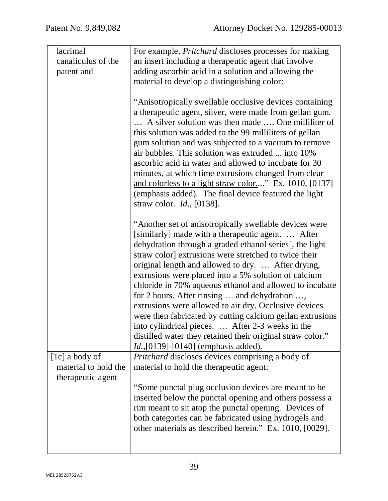| lacrimal             | For example, <i>Pritchard</i> discloses processes for making |
|----------------------|--------------------------------------------------------------|
| canaliculus of the   | an insert including a therapeutic agent that involve         |
| patent and           | adding ascorbic acid in a solution and allowing the          |
|                      | material to develop a distinguishing color:                  |
|                      |                                                              |
|                      | "Anisotropically swellable occlusive devices containing      |
|                      | a therapeutic agent, silver, were made from gellan gum.      |
|                      | A silver solution was then made  One milliliter of           |
|                      | this solution was added to the 99 milliliters of gellan      |
|                      | gum solution and was subjected to a vacuum to remove         |
|                      | air bubbles. This solution was extruded  into 10%            |
|                      | <u>ascorbic acid in water and allowed to incubate</u> for 30 |
|                      | minutes, at which time extrusions changed from clear         |
|                      | and colorless to a light straw color" Ex. 1010, [0137]       |
|                      | (emphasis added). The final device featured the light        |
|                      | straw color. $Id.$ , [0138].                                 |
|                      | "Another set of anisotropically swellable devices were       |
|                      | [similarly] made with a therapeutic agent.  After            |
|                      | dehydration through a graded ethanol series[, the light      |
|                      | straw color] extrusions were stretched to twice their        |
|                      | original length and allowed to dry.  After drying,           |
|                      | extrusions were placed into a 5% solution of calcium         |
|                      | chloride in 70% aqueous ethanol and allowed to incubate      |
|                      | for 2 hours. After rinsing  and dehydration ,                |
|                      | extrusions were allowed to air dry. Occlusive devices        |
|                      | were then fabricated by cutting calcium gellan extrusions    |
|                      | into cylindrical pieces.  After 2-3 weeks in the             |
|                      | distilled water they retained their original straw color."   |
|                      | <i>Id.</i> , [0139] - [0140] (emphasis added).               |
| [1c] a body of       | <i>Pritchard</i> discloses devices comprising a body of      |
| material to hold the | material to hold the therapeutic agent:                      |
| therapeutic agent    |                                                              |
|                      | "Some punctal plug occlusion devices are meant to be         |
|                      | inserted below the punctal opening and others possess a      |
|                      | rim meant to sit atop the punctal opening. Devices of        |
|                      | both categories can be fabricated using hydrogels and        |
|                      | other materials as described herein." Ex. 1010, [0029].      |
|                      |                                                              |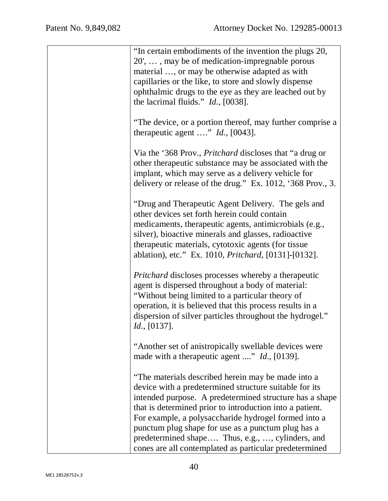| "In certain embodiments of the invention the plugs 20,<br>20', , may be of medication-impregnable porous<br>material , or may be otherwise adapted as with<br>capillaries or the like, to store and slowly dispense<br>ophthalmic drugs to the eye as they are leached out by<br>the lacrimal fluids." $Id.$ , [0038].                                                                                                                                          |
|-----------------------------------------------------------------------------------------------------------------------------------------------------------------------------------------------------------------------------------------------------------------------------------------------------------------------------------------------------------------------------------------------------------------------------------------------------------------|
| "The device, or a portion thereof, may further comprise a<br>therapeutic agent " $Id.$ , [0043].                                                                                                                                                                                                                                                                                                                                                                |
| Via the '368 Prov., <i>Pritchard</i> discloses that "a drug or<br>other therapeutic substance may be associated with the<br>implant, which may serve as a delivery vehicle for<br>delivery or release of the drug." Ex. 1012, '368 Prov., 3.                                                                                                                                                                                                                    |
| "Drug and Therapeutic Agent Delivery. The gels and<br>other devices set forth herein could contain<br>medicaments, therapeutic agents, antimicrobials (e.g.,<br>silver), bioactive minerals and glasses, radioactive<br>therapeutic materials, cytotoxic agents (for tissue<br>ablation), etc." Ex. 1010, <i>Pritchard</i> , [0131]-[0132].                                                                                                                     |
| <i>Pritchard</i> discloses processes whereby a therapeutic<br>agent is dispersed throughout a body of material:<br>"Without being limited to a particular theory of<br>operation, it is believed that this process results in a<br>dispersion of silver particles throughout the hydrogel."<br><i>Id.</i> , [0137].                                                                                                                                             |
| "Another set of anistropically swellable devices were<br>made with a therapeutic agent " <i>Id.</i> , [0139].                                                                                                                                                                                                                                                                                                                                                   |
| "The materials described herein may be made into a<br>device with a predetermined structure suitable for its<br>intended purpose. A predetermined structure has a shape<br>that is determined prior to introduction into a patient.<br>For example, a polysaccharide hydrogel formed into a<br>punctum plug shape for use as a punctum plug has a<br>predetermined shape Thus, e.g., , cylinders, and<br>cones are all contemplated as particular predetermined |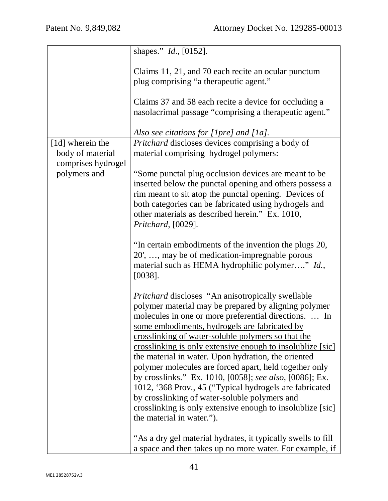|                                    | shapes." <i>Id.</i> , [0152].                                                                                                                                                                                                                                                                                                                                                                                                                                                                                                                                                                                                                                                                                                     |
|------------------------------------|-----------------------------------------------------------------------------------------------------------------------------------------------------------------------------------------------------------------------------------------------------------------------------------------------------------------------------------------------------------------------------------------------------------------------------------------------------------------------------------------------------------------------------------------------------------------------------------------------------------------------------------------------------------------------------------------------------------------------------------|
|                                    | Claims 11, 21, and 70 each recite an ocular punctum<br>plug comprising "a therapeutic agent."                                                                                                                                                                                                                                                                                                                                                                                                                                                                                                                                                                                                                                     |
|                                    | Claims 37 and 58 each recite a device for occluding a<br>masolacrimal passage "comprising a therapeutic agent."                                                                                                                                                                                                                                                                                                                                                                                                                                                                                                                                                                                                                   |
|                                    | Also see citations for [1pre] and [1a].                                                                                                                                                                                                                                                                                                                                                                                                                                                                                                                                                                                                                                                                                           |
| [1d] wherein the                   | <i>Pritchard</i> discloses devices comprising a body of                                                                                                                                                                                                                                                                                                                                                                                                                                                                                                                                                                                                                                                                           |
| body of material                   | material comprising hydrogel polymers:                                                                                                                                                                                                                                                                                                                                                                                                                                                                                                                                                                                                                                                                                            |
| comprises hydrogel<br>polymers and | "Some punctal plug occlusion devices are meant to be."<br>inserted below the punctal opening and others possess a<br>rim meant to sit atop the punctal opening. Devices of<br>both categories can be fabricated using hydrogels and<br>other materials as described herein." Ex. 1010,<br>Pritchard, [0029].                                                                                                                                                                                                                                                                                                                                                                                                                      |
|                                    | "In certain embodiments of the invention the plugs 20,<br>20', , may be of medication-impregnable porous<br>material such as HEMA hydrophilic polymer" Id.,<br>$[0038]$ .                                                                                                                                                                                                                                                                                                                                                                                                                                                                                                                                                         |
|                                    | Pritchard discloses "An anisotropically swellable<br>polymer material may be prepared by aligning polymer<br>molecules in one or more preferential directions.  In<br>some embodiments, hydrogels are fabricated by<br>crosslinking of water-soluble polymers so that the<br><u>crosslinking is only extensive enough to insolublize [sic]</u><br>the material in water. Upon hydration, the oriented<br>polymer molecules are forced apart, held together only<br>by crosslinks." Ex. 1010, [0058]; see also, [0086]; Ex.<br>1012, '368 Prov., 45 ("Typical hydrogels are fabricated<br>by crosslinking of water-soluble polymers and<br>crosslinking is only extensive enough to insolublize [sic]<br>the material in water."). |
|                                    | "As a dry gel material hydrates, it typically swells to fill<br>a space and then takes up no more water. For example, if                                                                                                                                                                                                                                                                                                                                                                                                                                                                                                                                                                                                          |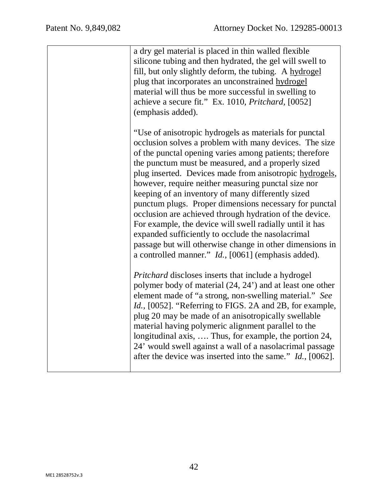| a dry gel material is placed in thin walled flexible<br>silicone tubing and then hydrated, the gel will swell to<br>fill, but only slightly deform, the tubing. A hydrogel<br>plug that incorporates an unconstrained hydrogel<br>material will thus be more successful in swelling to<br>achieve a secure fit." Ex. 1010, <i>Pritchard</i> , [0052]<br>(emphasis added).                                                                                                                                                                                                                                                                                                                                                                                                                                                       |
|---------------------------------------------------------------------------------------------------------------------------------------------------------------------------------------------------------------------------------------------------------------------------------------------------------------------------------------------------------------------------------------------------------------------------------------------------------------------------------------------------------------------------------------------------------------------------------------------------------------------------------------------------------------------------------------------------------------------------------------------------------------------------------------------------------------------------------|
| "Use of anisotropic hydrogels as materials for punctal<br>occlusion solves a problem with many devices. The size<br>of the punctal opening varies among patients; therefore<br>the punctum must be measured, and a properly sized<br>plug inserted. Devices made from anisotropic hydrogels,<br>however, require neither measuring punctal size nor<br>keeping of an inventory of many differently sized<br>punctum plugs. Proper dimensions necessary for punctal<br>occlusion are achieved through hydration of the device.<br>For example, the device will swell radially until it has<br>expanded sufficiently to occlude the nasolacrimal<br>passage but will otherwise change in other dimensions in<br>a controlled manner." Id., [0061] (emphasis added).<br><i>Pritchard</i> discloses inserts that include a hydrogel |
| polymer body of material (24, 24') and at least one other<br>element made of "a strong, non-swelling material." See<br><i>Id.</i> , [0052]. "Referring to FIGS. 2A and 2B, for example,<br>plug 20 may be made of an anisotropically swellable<br>material having polymeric alignment parallel to the<br>longitudinal axis,  Thus, for example, the portion 24,<br>24' would swell against a wall of a nasolacrimal passage<br>after the device was inserted into the same." <i>Id.</i> , [0062].                                                                                                                                                                                                                                                                                                                               |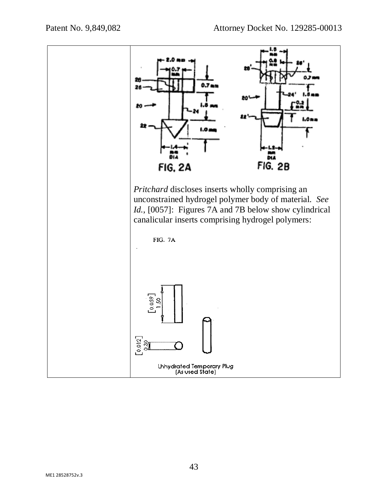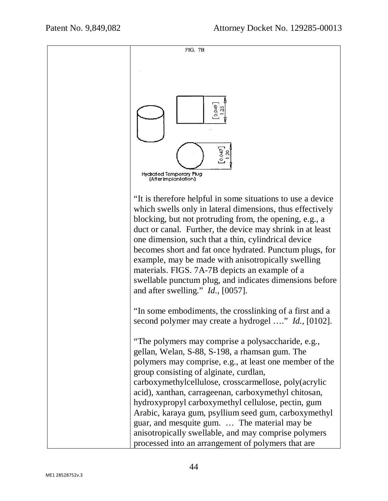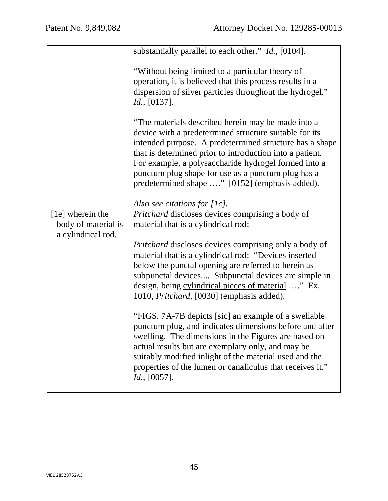|                                                               | substantially parallel to each other." <i>Id.</i> , [0104].                                                                                                                                                                                                                                                                                                                                         |
|---------------------------------------------------------------|-----------------------------------------------------------------------------------------------------------------------------------------------------------------------------------------------------------------------------------------------------------------------------------------------------------------------------------------------------------------------------------------------------|
|                                                               | "Without being limited to a particular theory of<br>operation, it is believed that this process results in a<br>dispersion of silver particles throughout the hydrogel."<br>Id., [0137].                                                                                                                                                                                                            |
|                                                               | "The materials described herein may be made into a<br>device with a predetermined structure suitable for its<br>intended purpose. A predetermined structure has a shape<br>that is determined prior to introduction into a patient.<br>For example, a polysaccharide hydrogel formed into a<br>punctum plug shape for use as a punctum plug has a<br>predetermined shape " [0152] (emphasis added). |
|                                                               | Also see citations for $[1c]$ .                                                                                                                                                                                                                                                                                                                                                                     |
| [1e] wherein the<br>body of material is<br>a cylindrical rod. | Pritchard discloses devices comprising a body of<br>material that is a cylindrical rod:                                                                                                                                                                                                                                                                                                             |
|                                                               | <i>Pritchard</i> discloses devices comprising only a body of<br>material that is a cylindrical rod: "Devices inserted<br>below the punctal opening are referred to herein as<br>subpunctal devices Subpunctal devices are simple in<br>design, being cylindrical pieces of material " Ex.<br>1010, Pritchard, [0030] (emphasis added).                                                              |
|                                                               | "FIGS. 7A-7B depicts [sic] an example of a swellable<br>punctum plug, and indicates dimensions before and after<br>swelling. The dimensions in the Figures are based on<br>actual results but are exemplary only, and may be<br>suitably modified inlight of the material used and the<br>properties of the lumen or canaliculus that receives it."<br>$Id.$ , [0057].                              |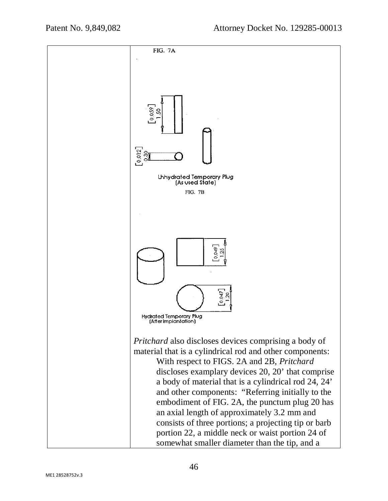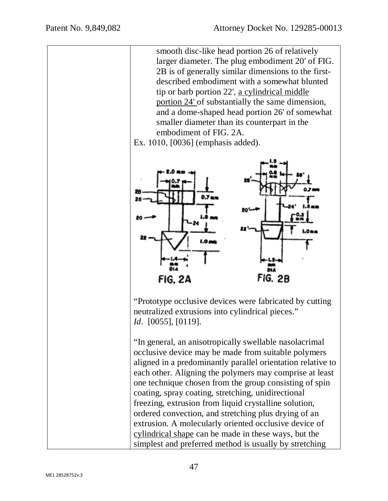smooth disc-like head portion 26 of relatively larger diameter. The plug embodiment 20' of FIG. 2B is of generally similar dimensions to the firstdescribed embodiment with a somewhat blunted tip or barb portion 22', a cylindrical middle portion 24' of substantially the same dimension, and a dome-shaped head portion 26' of somewhat smaller diameter than its counterpart in the embodiment of FIG. 2A.

Ex. 1010, [0036] (emphasis added).



"Prototype occlusive devices were fabricated by cutting neutralized extrusions into cylindrical pieces." *Id*. [0055], [0119].

"In general, an anisotropically swellable nasolacrimal occlusive device may be made from suitable polymers aligned in a predominantly parallel orientation relative to each other. Aligning the polymers may comprise at least one technique chosen from the group consisting of spin coating, spray coating, stretching, unidirectional freezing, extrusion from liquid crystalline solution, ordered convection, and stretching plus drying of an extrusion. A molecularly oriented occlusive device of cylindrical shape can be made in these ways, but the simplest and preferred method is usually by stretching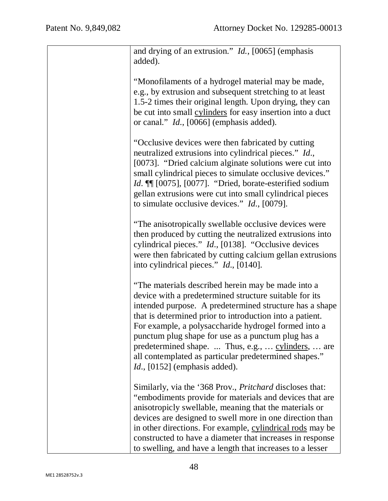| and drying of an extrusion." Id., [0065] (emphasis<br>added).                                                                                                                                                                                                                                                                                                                                                                                                                                       |
|-----------------------------------------------------------------------------------------------------------------------------------------------------------------------------------------------------------------------------------------------------------------------------------------------------------------------------------------------------------------------------------------------------------------------------------------------------------------------------------------------------|
| "Monofilaments of a hydrogel material may be made,<br>e.g., by extrusion and subsequent stretching to at least<br>1.5-2 times their original length. Upon drying, they can<br>be cut into small cylinders for easy insertion into a duct<br>or canal." <i>Id.</i> , [0066] (emphasis added).                                                                                                                                                                                                        |
| "Occlusive devices were then fabricated by cutting<br>neutralized extrusions into cylindrical pieces." Id.,<br>[0073]. "Dried calcium alginate solutions were cut into<br>small cylindrical pieces to simulate occlusive devices."<br><i>Id.</i> III [0075], [0077]. "Dried, borate-esterified sodium<br>gellan extrusions were cut into small cylindrical pieces<br>to simulate occlusive devices." $Id.$ , [0079].                                                                                |
| "The anisotropically swellable occlusive devices were<br>then produced by cutting the neutralized extrusions into<br>cylindrical pieces." <i>Id.</i> , [0138]. "Occlusive devices<br>were then fabricated by cutting calcium gellan extrusions<br>into cylindrical pieces." <i>Id.</i> , [0140].                                                                                                                                                                                                    |
| "The materials described herein may be made into a<br>device with a predetermined structure suitable for its<br>intended purpose. A predetermined structure has a shape<br>that is determined prior to introduction into a patient.<br>For example, a polysaccharide hydrogel formed into a<br>punctum plug shape for use as a punctum plug has a<br>predetermined shape.  Thus, e.g.,  cylinders,  are<br>all contemplated as particular predetermined shapes."<br>$Id., [0152]$ (emphasis added). |
| Similarly, via the '368 Prov., <i>Pritchard</i> discloses that:<br>"embodiments provide for materials and devices that are<br>anisotropicly swellable, meaning that the materials or<br>devices are designed to swell more in one direction than<br>in other directions. For example, cylindrical rods may be<br>constructed to have a diameter that increases in response<br>to swelling, and have a length that increases to a lesser                                                             |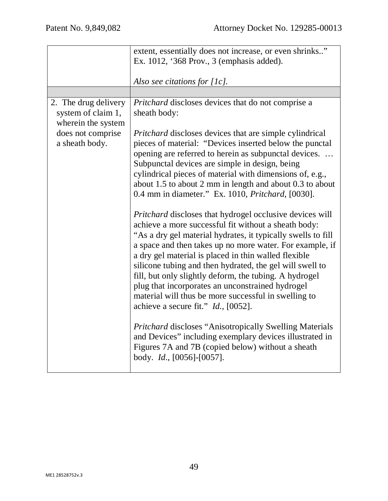|                                                                                                         | extent, essentially does not increase, or even shrinks"<br>Ex. 1012, '368 Prov., 3 (emphasis added).                                                                                                                                                                                                                                                                                                                                                                                                                                                                                                                                                                                                                                                                                                                                                                                                                                                                                                                                                                                                                                                                                                                                                                                                |
|---------------------------------------------------------------------------------------------------------|-----------------------------------------------------------------------------------------------------------------------------------------------------------------------------------------------------------------------------------------------------------------------------------------------------------------------------------------------------------------------------------------------------------------------------------------------------------------------------------------------------------------------------------------------------------------------------------------------------------------------------------------------------------------------------------------------------------------------------------------------------------------------------------------------------------------------------------------------------------------------------------------------------------------------------------------------------------------------------------------------------------------------------------------------------------------------------------------------------------------------------------------------------------------------------------------------------------------------------------------------------------------------------------------------------|
|                                                                                                         | Also see citations for $[1c]$ .                                                                                                                                                                                                                                                                                                                                                                                                                                                                                                                                                                                                                                                                                                                                                                                                                                                                                                                                                                                                                                                                                                                                                                                                                                                                     |
| 2. The drug delivery<br>system of claim 1,<br>wherein the system<br>does not comprise<br>a sheath body. | <i>Pritchard</i> discloses devices that do not comprise a<br>sheath body:<br>Pritchard discloses devices that are simple cylindrical<br>pieces of material: "Devices inserted below the punctal<br>opening are referred to herein as subpunctal devices.<br>Subpunctal devices are simple in design, being<br>cylindrical pieces of material with dimensions of, e.g.,<br>about 1.5 to about 2 mm in length and about 0.3 to about<br>0.4 mm in diameter." Ex. 1010, <i>Pritchard</i> , [0030].<br>Pritchard discloses that hydrogel occlusive devices will<br>achieve a more successful fit without a sheath body:<br>"As a dry gel material hydrates, it typically swells to fill<br>a space and then takes up no more water. For example, if<br>a dry gel material is placed in thin walled flexible<br>silicone tubing and then hydrated, the gel will swell to<br>fill, but only slightly deform, the tubing. A hydrogel<br>plug that incorporates an unconstrained hydrogel<br>material will thus be more successful in swelling to<br>achieve a secure fit." <i>Id.</i> , [0052].<br>Pritchard discloses "Anisotropically Swelling Materials<br>and Devices" including exemplary devices illustrated in<br>Figures 7A and 7B (copied below) without a sheath<br>body. $Id.$ , [0056]-[0057]. |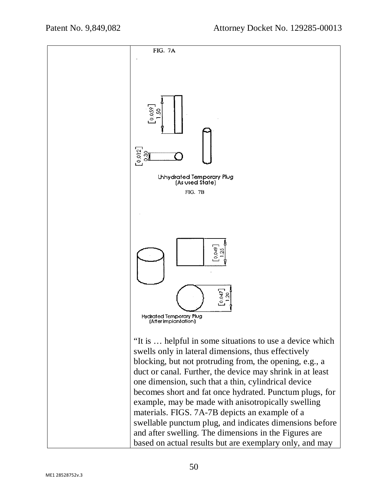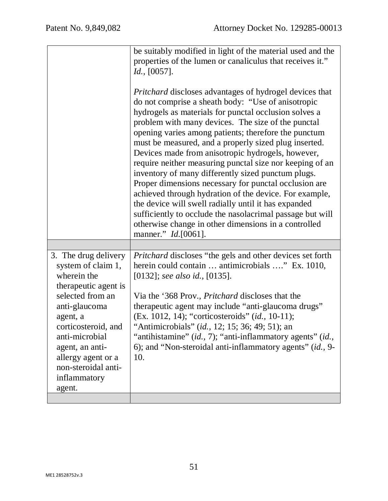|                                                                                                                                                                                                                                                                       | be suitably modified in light of the material used and the<br>properties of the lumen or canaliculus that receives it."<br>Id., [0057].<br><i>Pritchard</i> discloses advantages of hydrogel devices that<br>do not comprise a sheath body: "Use of anisotropic<br>hydrogels as materials for punctal occlusion solves a<br>problem with many devices. The size of the punctal<br>opening varies among patients; therefore the punctum<br>must be measured, and a properly sized plug inserted.<br>Devices made from anisotropic hydrogels, however,<br>require neither measuring punctal size nor keeping of an<br>inventory of many differently sized punctum plugs.<br>Proper dimensions necessary for punctal occlusion are<br>achieved through hydration of the device. For example,<br>the device will swell radially until it has expanded<br>sufficiently to occlude the nasolacrimal passage but will<br>otherwise change in other dimensions in a controlled<br>manner." <i>Id.</i> [0061]. |
|-----------------------------------------------------------------------------------------------------------------------------------------------------------------------------------------------------------------------------------------------------------------------|-------------------------------------------------------------------------------------------------------------------------------------------------------------------------------------------------------------------------------------------------------------------------------------------------------------------------------------------------------------------------------------------------------------------------------------------------------------------------------------------------------------------------------------------------------------------------------------------------------------------------------------------------------------------------------------------------------------------------------------------------------------------------------------------------------------------------------------------------------------------------------------------------------------------------------------------------------------------------------------------------------|
| 3. The drug delivery<br>system of claim 1,<br>wherein the<br>therapeutic agent is<br>selected from an<br>anti-glaucoma<br>agent, a<br>corticosteroid, and<br>anti-microbial<br>agent, an anti-<br>allergy agent or a<br>non-steroidal anti-<br>inflammatory<br>agent. | <i>Pritchard</i> discloses "the gels and other devices set forth<br>herein could contain  antimicrobials " Ex. 1010,<br>[0132]; see also id., [0135].<br>Via the '368 Prov., <i>Pritchard</i> discloses that the<br>therapeutic agent may include "anti-glaucoma drugs"<br>(Ex. 1012, 14); "corticosteroids" (id., 10-11);<br>"Antimicrobials" (id., 12; 15; 36; 49; 51); an<br>"antihistamine" (id., 7); "anti-inflammatory agents" (id.,<br>6); and "Non-steroidal anti-inflammatory agents" (id., 9-<br>10.                                                                                                                                                                                                                                                                                                                                                                                                                                                                                        |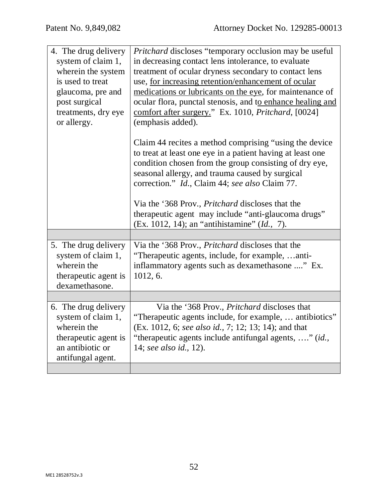| 4. The drug delivery<br>system of claim 1,<br>wherein the system<br>is used to treat<br>glaucoma, pre and<br>post surgical<br>treatments, dry eye<br>or allergy. | <i>Pritchard</i> discloses "temporary occlusion may be useful<br>in decreasing contact lens intolerance, to evaluate<br>treatment of ocular dryness secondary to contact lens<br>use, for increasing retention/enhancement of ocular<br>medications or lubricants on the eye, for maintenance of<br>ocular flora, punctal stenosis, and to enhance healing and<br>comfort after surgery." Ex. 1010, <i>Pritchard</i> , [0024]<br>(emphasis added).<br>Claim 44 recites a method comprising "using the device"<br>to treat at least one eye in a patient having at least one<br>condition chosen from the group consisting of dry eye,<br>seasonal allergy, and trauma caused by surgical<br>correction." Id., Claim 44; see also Claim 77.<br>Via the '368 Prov., <i>Pritchard</i> discloses that the<br>therapeutic agent may include "anti-glaucoma drugs" |
|------------------------------------------------------------------------------------------------------------------------------------------------------------------|--------------------------------------------------------------------------------------------------------------------------------------------------------------------------------------------------------------------------------------------------------------------------------------------------------------------------------------------------------------------------------------------------------------------------------------------------------------------------------------------------------------------------------------------------------------------------------------------------------------------------------------------------------------------------------------------------------------------------------------------------------------------------------------------------------------------------------------------------------------|
|                                                                                                                                                                  | (Ex. 1012, 14); an "antihistamine" (Id., 7).                                                                                                                                                                                                                                                                                                                                                                                                                                                                                                                                                                                                                                                                                                                                                                                                                 |
| 5. The drug delivery<br>system of claim 1,<br>wherein the<br>therapeutic agent is<br>dexamethasone.                                                              | Via the '368 Prov., Pritchard discloses that the<br>"Therapeutic agents, include, for example, anti-<br>inflammatory agents such as dexamethasone " Ex.<br>1012, 6.                                                                                                                                                                                                                                                                                                                                                                                                                                                                                                                                                                                                                                                                                          |
|                                                                                                                                                                  |                                                                                                                                                                                                                                                                                                                                                                                                                                                                                                                                                                                                                                                                                                                                                                                                                                                              |
| 6. The drug delivery<br>system of claim 1,<br>wherein the<br>therapeutic agent is<br>an antibiotic or<br>antifungal agent.                                       | Via the '368 Prov., Pritchard discloses that<br>"Therapeutic agents include, for example,  antibiotics"<br>(Ex. 1012, 6; see also id., 7; 12; 13; 14); and that<br>"therapeutic agents include antifungal agents, " (id.,<br>14; see also id., 12).                                                                                                                                                                                                                                                                                                                                                                                                                                                                                                                                                                                                          |
|                                                                                                                                                                  |                                                                                                                                                                                                                                                                                                                                                                                                                                                                                                                                                                                                                                                                                                                                                                                                                                                              |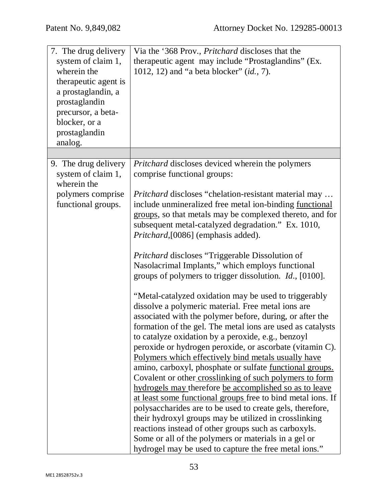| 7. The drug delivery<br>system of claim 1,<br>wherein the<br>therapeutic agent is<br>a prostaglandin, a<br>prostaglandin<br>precursor, a beta- | Via the '368 Prov., Pritchard discloses that the<br>therapeutic agent may include "Prostaglandins" (Ex.<br>1012, 12) and "a beta blocker" (id., 7).                                                                                                                                                                                                                                                                                                                                                                                                                                                                                                                                                                                                                                                                                                                                                                                                                  |
|------------------------------------------------------------------------------------------------------------------------------------------------|----------------------------------------------------------------------------------------------------------------------------------------------------------------------------------------------------------------------------------------------------------------------------------------------------------------------------------------------------------------------------------------------------------------------------------------------------------------------------------------------------------------------------------------------------------------------------------------------------------------------------------------------------------------------------------------------------------------------------------------------------------------------------------------------------------------------------------------------------------------------------------------------------------------------------------------------------------------------|
| blocker, or a                                                                                                                                  |                                                                                                                                                                                                                                                                                                                                                                                                                                                                                                                                                                                                                                                                                                                                                                                                                                                                                                                                                                      |
| prostaglandin<br>analog.                                                                                                                       |                                                                                                                                                                                                                                                                                                                                                                                                                                                                                                                                                                                                                                                                                                                                                                                                                                                                                                                                                                      |
|                                                                                                                                                |                                                                                                                                                                                                                                                                                                                                                                                                                                                                                                                                                                                                                                                                                                                                                                                                                                                                                                                                                                      |
| 9. The drug delivery<br>system of claim 1,<br>wherein the                                                                                      | <i>Pritchard</i> discloses deviced wherein the polymers<br>comprise functional groups:                                                                                                                                                                                                                                                                                                                                                                                                                                                                                                                                                                                                                                                                                                                                                                                                                                                                               |
| polymers comprise<br>functional groups.                                                                                                        | <i>Pritchard</i> discloses "chelation-resistant material may<br>include unmineralized free metal ion-binding <u>functional</u><br>groups, so that metals may be complexed thereto, and for<br>subsequent metal-catalyzed degradation." Ex. 1010,<br>Pritchard, [0086] (emphasis added).                                                                                                                                                                                                                                                                                                                                                                                                                                                                                                                                                                                                                                                                              |
|                                                                                                                                                | Pritchard discloses "Triggerable Dissolution of<br>Nasolacrimal Implants," which employs functional<br>groups of polymers to trigger dissolution. <i>Id.</i> , [0100].                                                                                                                                                                                                                                                                                                                                                                                                                                                                                                                                                                                                                                                                                                                                                                                               |
|                                                                                                                                                | "Metal-catalyzed oxidation may be used to triggerably<br>dissolve a polymeric material. Free metal ions are<br>associated with the polymer before, during, or after the<br>formation of the gel. The metal ions are used as catalysts<br>to catalyze oxidation by a peroxide, e.g., benzoyl<br>peroxide or hydrogen peroxide, or ascorbate (vitamin C).<br>Polymers which effectively bind metals usually have<br>amino, carboxyl, phosphate or sulfate <u>functional groups.</u><br>Covalent or other crosslinking of such polymers to form<br>hydrogels may therefore be accomplished so as to leave<br>at least some functional groups free to bind metal ions. If<br>polysaccharides are to be used to create gels, therefore,<br>their hydroxyl groups may be utilized in crosslinking<br>reactions instead of other groups such as carboxyls.<br>Some or all of the polymers or materials in a gel or<br>hydrogel may be used to capture the free metal ions." |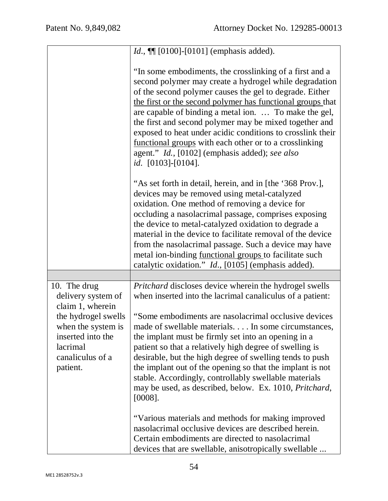|                                                                                                                                                                      | <i>Id.</i> , $\P$ [0100]-[0101] (emphasis added).                                                                                                                                                                                                                                                                                                                                                                                                                                                                                                                                                              |
|----------------------------------------------------------------------------------------------------------------------------------------------------------------------|----------------------------------------------------------------------------------------------------------------------------------------------------------------------------------------------------------------------------------------------------------------------------------------------------------------------------------------------------------------------------------------------------------------------------------------------------------------------------------------------------------------------------------------------------------------------------------------------------------------|
|                                                                                                                                                                      | "In some embodiments, the crosslinking of a first and a<br>second polymer may create a hydrogel while degradation<br>of the second polymer causes the gel to degrade. Either<br>the first or the second polymer has functional groups that<br>are capable of binding a metal ion.  To make the gel,<br>the first and second polymer may be mixed together and<br>exposed to heat under acidic conditions to crosslink their<br>functional groups with each other or to a crosslinking<br>agent." Id., [0102] (emphasis added); see also<br>id. $[0103]$ - $[0104]$ .                                           |
|                                                                                                                                                                      | "As set forth in detail, herein, and in [the '368 Prov.],<br>devices may be removed using metal-catalyzed<br>oxidation. One method of removing a device for<br>occluding a nasolacrimal passage, comprises exposing<br>the device to metal-catalyzed oxidation to degrade a<br>material in the device to facilitate removal of the device<br>from the nasolacrimal passage. Such a device may have<br>metal ion-binding <u>functional groups</u> to facilitate such<br>catalytic oxidation." <i>Id.</i> , [0105] (emphasis added).                                                                             |
|                                                                                                                                                                      |                                                                                                                                                                                                                                                                                                                                                                                                                                                                                                                                                                                                                |
| 10. The drug<br>delivery system of<br>claim 1, wherein<br>the hydrogel swells<br>when the system is<br>inserted into the<br>lacrimal<br>canaliculus of a<br>patient. | Pritchard discloses device wherein the hydrogel swells<br>when inserted into the lacrimal canaliculus of a patient:<br>"Some embodiments are nasolacrimal occlusive devices"<br>made of swellable materials In some circumstances,<br>the implant must be firmly set into an opening in a<br>patient so that a relatively high degree of swelling is<br>desirable, but the high degree of swelling tends to push<br>the implant out of the opening so that the implant is not<br>stable. Accordingly, controllably swellable materials<br>may be used, as described, below. Ex. 1010, Pritchard,<br>$[0008]$ . |
|                                                                                                                                                                      | "Various materials and methods for making improved<br>nasolacrimal occlusive devices are described herein.<br>Certain embodiments are directed to nasolacrimal<br>devices that are swellable, anisotropically swellable                                                                                                                                                                                                                                                                                                                                                                                        |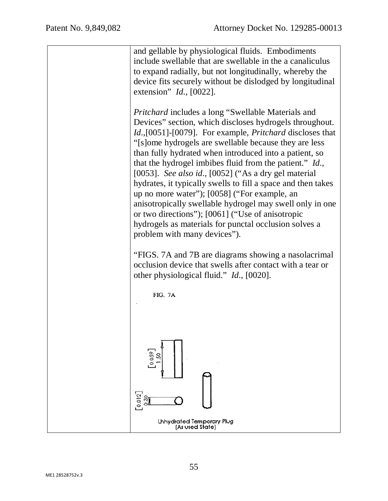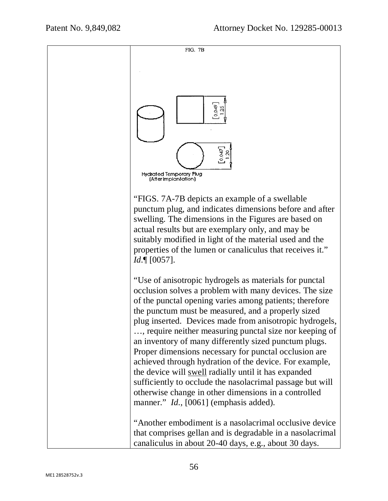

"FIGS. 7A-7B depicts an example of a swellable punctum plug, and indicates dimensions before and after swelling. The dimensions in the Figures are based on actual results but are exemplary only, and may be suitably modified in light of the material used and the properties of the lumen or canaliculus that receives it." *Id*.¶ [0057].

"Use of anisotropic hydrogels as materials for punctal occlusion solves a problem with many devices. The size of the punctal opening varies among patients; therefore the punctum must be measured, and a properly sized plug inserted. Devices made from anisotropic hydrogels, …, require neither measuring punctal size nor keeping of an inventory of many differently sized punctum plugs. Proper dimensions necessary for punctal occlusion are achieved through hydration of the device. For example, the device will swell radially until it has expanded sufficiently to occlude the nasolacrimal passage but will otherwise change in other dimensions in a controlled manner." *Id.*, [0061] (emphasis added).

"Another embodiment is a nasolacrimal occlusive device that comprises gellan and is degradable in a nasolacrimal canaliculus in about 20-40 days, e.g., about 30 days.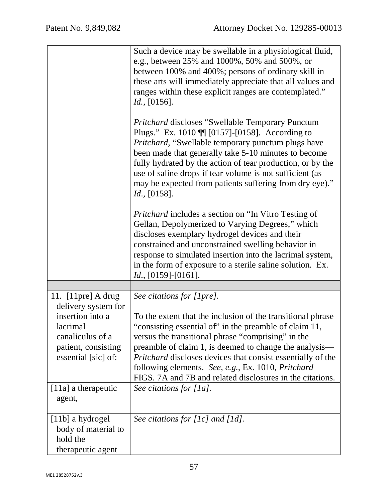|                                                                                                                                               | Such a device may be swellable in a physiological fluid,<br>e.g., between 25% and 1000%, 50% and 500%, or<br>between 100% and 400%; persons of ordinary skill in<br>these arts will immediately appreciate that all values and<br>ranges within these explicit ranges are contemplated."<br>Id., [0156].<br><b>Pritchard discloses "Swellable Temporary Punctum</b><br>Plugs." Ex. 1010 $\P$ [0157]-[0158]. According to<br><i>Pritchard</i> , "Swellable temporary punctum plugs have<br>been made that generally take 5-10 minutes to become<br>fully hydrated by the action of tear production, or by the<br>use of saline drops if tear volume is not sufficient (as<br>may be expected from patients suffering from dry eye)." |
|-----------------------------------------------------------------------------------------------------------------------------------------------|-------------------------------------------------------------------------------------------------------------------------------------------------------------------------------------------------------------------------------------------------------------------------------------------------------------------------------------------------------------------------------------------------------------------------------------------------------------------------------------------------------------------------------------------------------------------------------------------------------------------------------------------------------------------------------------------------------------------------------------|
|                                                                                                                                               | Id., [0158].<br><i>Pritchard</i> includes a section on "In Vitro Testing of<br>Gellan, Depolymerized to Varying Degrees," which<br>discloses exemplary hydrogel devices and their<br>constrained and unconstrained swelling behavior in<br>response to simulated insertion into the lacrimal system,<br>in the form of exposure to a sterile saline solution. Ex.<br>$Id., [0159] - [0161].$                                                                                                                                                                                                                                                                                                                                        |
|                                                                                                                                               |                                                                                                                                                                                                                                                                                                                                                                                                                                                                                                                                                                                                                                                                                                                                     |
| 11. $[11pre]$ A drug<br>delivery system for<br>insertion into a<br>lacrimal<br>canaliculus of a<br>patient, consisting<br>essential [sic] of: | See citations for [1pre].<br>To the extent that the inclusion of the transitional phrase<br>"consisting essential of" in the preamble of claim 11<br>versus the transitional phrase "comprising" in the<br>preamble of claim 1, is deemed to change the analysis—<br>Pritchard discloses devices that consist essentially of the<br>following elements. See, e.g., Ex. 1010, Pritchard<br>FIGS. 7A and 7B and related disclosures in the citations.                                                                                                                                                                                                                                                                                 |
| $[11a]$ a therapeutic<br>agent,                                                                                                               | See citations for $[1a]$ .                                                                                                                                                                                                                                                                                                                                                                                                                                                                                                                                                                                                                                                                                                          |
| [11b] a hydrogel<br>body of material to<br>hold the<br>therapeutic agent                                                                      | See citations for $[1c]$ and $[1d]$ .                                                                                                                                                                                                                                                                                                                                                                                                                                                                                                                                                                                                                                                                                               |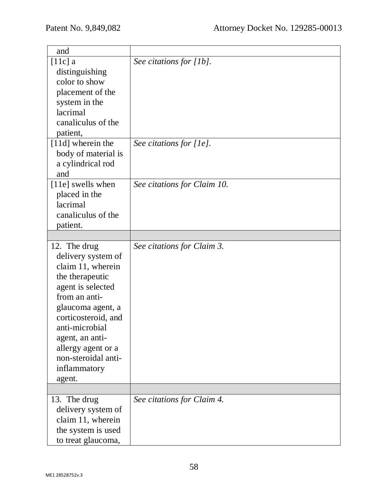| and                 |                             |
|---------------------|-----------------------------|
| $[11c]$ a           | See citations for [1b].     |
| distinguishing      |                             |
| color to show       |                             |
| placement of the    |                             |
| system in the       |                             |
| lacrimal            |                             |
| canaliculus of the  |                             |
| patient,            |                             |
| [11d] wherein the   | See citations for [1e].     |
| body of material is |                             |
| a cylindrical rod   |                             |
| and                 |                             |
| [11e] swells when   | See citations for Claim 10. |
| placed in the       |                             |
| lacrimal            |                             |
| canaliculus of the  |                             |
| patient.            |                             |
|                     |                             |
| 12. The drug        | See citations for Claim 3.  |
|                     |                             |
| delivery system of  |                             |
| claim 11, wherein   |                             |
| the therapeutic     |                             |
| agent is selected   |                             |
| from an anti-       |                             |
| glaucoma agent, a   |                             |
| corticosteroid, and |                             |
| anti-microbial      |                             |
| agent, an anti-     |                             |
| allergy agent or a  |                             |
| non-steroidal anti- |                             |
| inflammatory        |                             |
| agent.              |                             |
|                     |                             |
|                     |                             |
| 13. The drug        | See citations for Claim 4.  |
| delivery system of  |                             |
| claim 11, wherein   |                             |
| the system is used  |                             |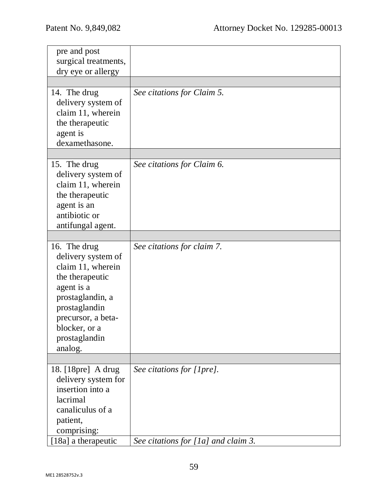| pre and post                            |                                     |
|-----------------------------------------|-------------------------------------|
| surgical treatments,                    |                                     |
| dry eye or allergy                      |                                     |
|                                         |                                     |
| 14. The drug                            | See citations for Claim 5.          |
| delivery system of                      |                                     |
| claim 11, wherein                       |                                     |
| the therapeutic                         |                                     |
| agent is<br>dexamethasone.              |                                     |
|                                         |                                     |
|                                         |                                     |
| 15. The drug                            | See citations for Claim 6.          |
| delivery system of<br>claim 11, wherein |                                     |
| the therapeutic                         |                                     |
| agent is an                             |                                     |
| antibiotic or                           |                                     |
| antifungal agent.                       |                                     |
|                                         |                                     |
| 16. The drug                            | See citations for claim 7.          |
| delivery system of                      |                                     |
| claim 11, wherein                       |                                     |
| the therapeutic                         |                                     |
| agent is a                              |                                     |
| prostaglandin, a                        |                                     |
| prostaglandin                           |                                     |
| precursor, a beta-                      |                                     |
| blocker, or a                           |                                     |
| prostaglandin                           |                                     |
| analog.                                 |                                     |
|                                         |                                     |
| 18. [18pre] A drug                      | See citations for [1pre].           |
| delivery system for<br>insertion into a |                                     |
| lacrimal                                |                                     |
| canaliculus of a                        |                                     |
| patient,                                |                                     |
| comprising:                             |                                     |
| [18a] a therapeutic                     | See citations for [1a] and claim 3. |
|                                         |                                     |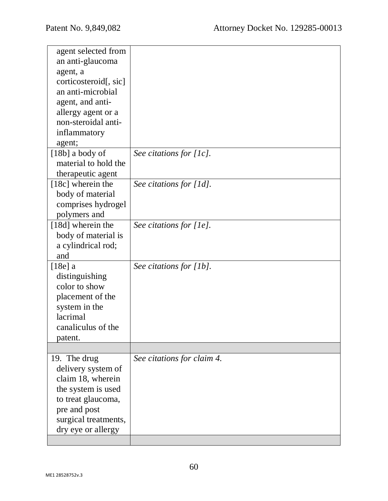| agent selected from   |                            |
|-----------------------|----------------------------|
| an anti-glaucoma      |                            |
| agent, a              |                            |
| corticosteroid[, sic] |                            |
| an anti-microbial     |                            |
| agent, and anti-      |                            |
| allergy agent or a    |                            |
| non-steroidal anti-   |                            |
| inflammatory          |                            |
| agent;                |                            |
| $[18b]$ a body of     | See citations for [1c].    |
| material to hold the  |                            |
| therapeutic agent     |                            |
| [18c] wherein the     | See citations for [1d].    |
| body of material      |                            |
| comprises hydrogel    |                            |
| polymers and          |                            |
| [18d] wherein the     | See citations for [1e].    |
| body of material is   |                            |
| a cylindrical rod;    |                            |
| and                   |                            |
| $[18e]$ a             | See citations for [1b].    |
| distinguishing        |                            |
| color to show         |                            |
| placement of the      |                            |
| system in the         |                            |
| lacrimal              |                            |
| canaliculus of the    |                            |
| patent.               |                            |
|                       |                            |
| 19. The drug          | See citations for claim 4. |
| delivery system of    |                            |
| claim 18, wherein     |                            |
| the system is used    |                            |
| to treat glaucoma,    |                            |
| pre and post          |                            |
| surgical treatments,  |                            |
| dry eye or allergy    |                            |
|                       |                            |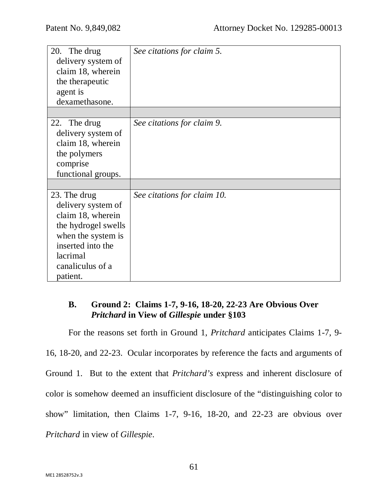| See citations for claim 5.  |
|-----------------------------|
| See citations for claim 9.  |
|                             |
|                             |
|                             |
|                             |
| See citations for claim 10. |
|                             |
|                             |
|                             |
|                             |
|                             |
|                             |
|                             |
|                             |

# **B. Ground 2: Claims 1-7, 9-16, 18-20, 22-23 Are Obvious Over**  *Pritchard* **in View of** *Gillespie* **under §103**

For the reasons set forth in Ground 1, *Pritchard* anticipates Claims 1-7, 9- 16, 18-20, and 22-23. Ocular incorporates by reference the facts and arguments of Ground 1. But to the extent that *Pritchard's* express and inherent disclosure of color is somehow deemed an insufficient disclosure of the "distinguishing color to show" limitation, then Claims 1-7, 9-16, 18-20, and 22-23 are obvious over *Pritchard* in view of *Gillespie*.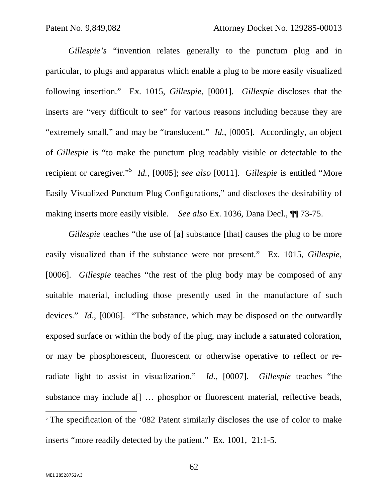*Gillespie's* "invention relates generally to the punctum plug and in particular, to plugs and apparatus which enable a plug to be more easily visualized following insertion." Ex. 1015, *Gillespie*, [0001]. *Gillespie* discloses that the inserts are "very difficult to see" for various reasons including because they are "extremely small," and may be "translucent." *Id.*, [0005]. Accordingly, an object of *Gillespie* is "to make the punctum plug readably visible or detectable to the recipient or caregiver."<sup>5</sup> *Id.*, [0005]; *see also* [0011]. *Gillespie* is entitled "More Easily Visualized Punctum Plug Configurations," and discloses the desirability of making inserts more easily visible. *See also* Ex. 1036, Dana Decl., ¶¶ 73-75.

*Gillespie* teaches "the use of [a] substance [that] causes the plug to be more easily visualized than if the substance were not present." Ex. 1015, *Gillespie*, [0006]. *Gillespie* teaches "the rest of the plug body may be composed of any suitable material, including those presently used in the manufacture of such devices." *Id*., [0006]. "The substance, which may be disposed on the outwardly exposed surface or within the body of the plug, may include a saturated coloration, or may be phosphorescent, fluorescent or otherwise operative to reflect or reradiate light to assist in visualization." *Id*., [0007]. *Gillespie* teaches "the substance may include a<sup>[]</sup> ... phosphor or fluorescent material, reflective beads,  $\overline{a}$ <sup>5</sup> The specification of the '082 Patent similarly discloses the use of color to make inserts "more readily detected by the patient." Ex. 1001, 21:1-5.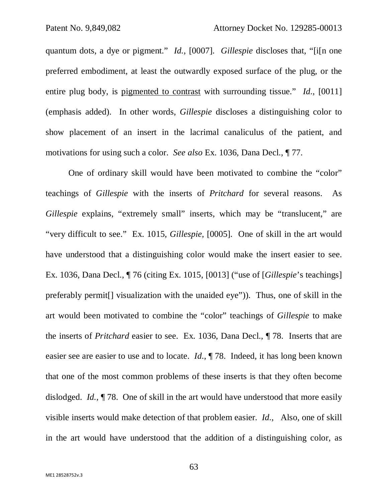quantum dots, a dye or pigment." *Id.*, [0007]. *Gillespie* discloses that, "[i[n one preferred embodiment, at least the outwardly exposed surface of the plug, or the entire plug body, is pigmented to contrast with surrounding tissue." *Id*., [0011] (emphasis added). In other words, *Gillespie* discloses a distinguishing color to show placement of an insert in the lacrimal canaliculus of the patient, and motivations for using such a color. *See also* Ex. 1036, Dana Decl., ¶ 77.

One of ordinary skill would have been motivated to combine the "color" teachings of *Gillespie* with the inserts of *Pritchard* for several reasons. As *Gillespie* explains, "extremely small" inserts, which may be "translucent," are "very difficult to see." Ex. 1015, *Gillespie*, [0005]. One of skill in the art would have understood that a distinguishing color would make the insert easier to see. Ex. 1036, Dana Decl., ¶ 76 (citing Ex. 1015, [0013] ("use of [*Gillespie*'s teachings] preferably permit[] visualization with the unaided eye")). Thus, one of skill in the art would been motivated to combine the "color" teachings of *Gillespie* to make the inserts of *Pritchard* easier to see. Ex. 1036, Dana Decl., ¶ 78. Inserts that are easier see are easier to use and to locate. *Id*., ¶ 78. Indeed, it has long been known that one of the most common problems of these inserts is that they often become dislodged. *Id.*, ¶ 78. One of skill in the art would have understood that more easily visible inserts would make detection of that problem easier. *Id*., Also, one of skill in the art would have understood that the addition of a distinguishing color, as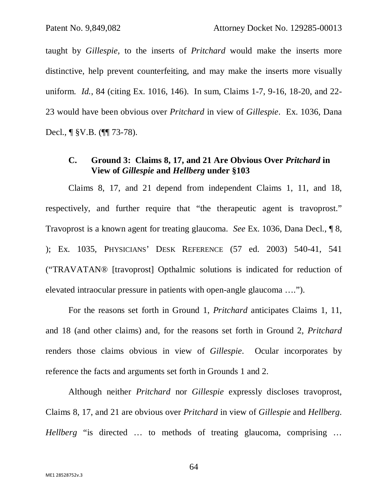taught by *Gillespie,* to the inserts of *Pritchard* would make the inserts more distinctive, help prevent counterfeiting, and may make the inserts more visually uniform. *Id.*, 84 (citing Ex. 1016, 146). In sum, Claims 1-7, 9-16, 18-20, and 22- 23 would have been obvious over *Pritchard* in view of *Gillespie*. Ex. 1036, Dana Decl., ¶ §V.B. (¶¶ 73-78).

## **C. Ground 3: Claims 8, 17, and 21 Are Obvious Over** *Pritchard* **in View of** *Gillespie* **and** *Hellberg* **under §103**

Claims 8, 17, and 21 depend from independent Claims 1, 11, and 18, respectively, and further require that "the therapeutic agent is travoprost." Travoprost is a known agent for treating glaucoma. *See* Ex. 1036, Dana Decl., ¶ 8, ); Ex. 1035, PHYSICIANS' DESK REFERENCE (57 ed. 2003) 540-41, 541 ("TRAVATAN® [travoprost] Opthalmic solutions is indicated for reduction of elevated intraocular pressure in patients with open-angle glaucoma ….").

For the reasons set forth in Ground 1, *Pritchard* anticipates Claims 1, 11, and 18 (and other claims) and, for the reasons set forth in Ground 2, *Pritchard* renders those claims obvious in view of *Gillespie*. Ocular incorporates by reference the facts and arguments set forth in Grounds 1 and 2.

Although neither *Pritchard* nor *Gillespie* expressly discloses travoprost, Claims 8, 17, and 21 are obvious over *Pritchard* in view of *Gillespie* and *Hellberg*. *Hellberg* "is directed … to methods of treating glaucoma, comprising …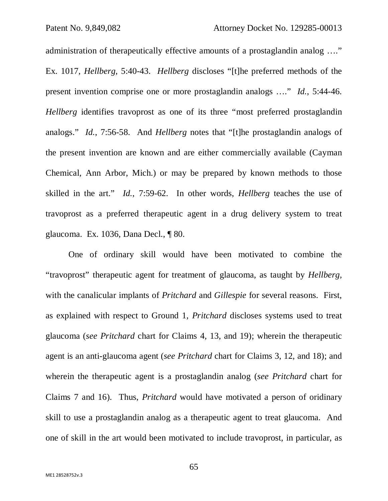administration of therapeutically effective amounts of a prostaglandin analog …." Ex. 1017, *Hellberg,* 5:40-43. *Hellberg* discloses "[t]he preferred methods of the present invention comprise one or more prostaglandin analogs …." *Id.*, 5:44-46. *Hellberg* identifies travoprost as one of its three "most preferred prostaglandin analogs." *Id.*, 7:56-58. And *Hellberg* notes that "[t]he prostaglandin analogs of the present invention are known and are either commercially available (Cayman Chemical, Ann Arbor, Mich.) or may be prepared by known methods to those skilled in the art." *Id.*, 7:59-62. In other words, *Hellberg* teaches the use of travoprost as a preferred therapeutic agent in a drug delivery system to treat glaucoma. Ex. 1036, Dana Decl., ¶ 80.

One of ordinary skill would have been motivated to combine the "travoprost" therapeutic agent for treatment of glaucoma, as taught by *Hellberg,* with the canalicular implants of *Pritchard* and *Gillespie* for several reasons. First, as explained with respect to Ground 1, *Pritchard* discloses systems used to treat glaucoma (*see Pritchard* chart for Claims 4, 13, and 19); wherein the therapeutic agent is an anti-glaucoma agent (*see Pritchard* chart for Claims 3, 12, and 18); and wherein the therapeutic agent is a prostaglandin analog (*see Pritchard* chart for Claims 7 and 16). Thus, *Pritchard* would have motivated a person of oridinary skill to use a prostaglandin analog as a therapeutic agent to treat glaucoma. And one of skill in the art would been motivated to include travoprost, in particular, as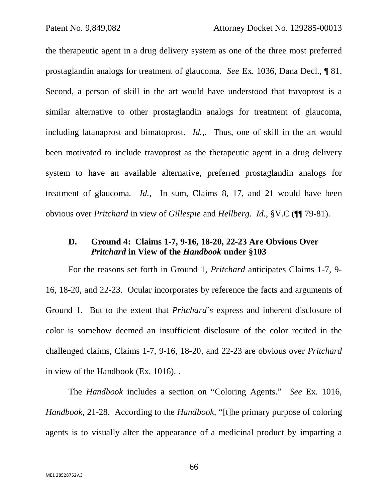the therapeutic agent in a drug delivery system as one of the three most preferred prostaglandin analogs for treatment of glaucoma*. See* Ex. 1036, Dana Decl., ¶ 81. Second, a person of skill in the art would have understood that travoprost is a similar alternative to other prostaglandin analogs for treatment of glaucoma, including latanaprost and bimatoprost. *Id.,*. Thus, one of skill in the art would been motivated to include travoprost as the therapeutic agent in a drug delivery system to have an available alternative, preferred prostaglandin analogs for treatment of glaucoma*. Id.,* In sum, Claims 8, 17, and 21 would have been obvious over *Pritchard* in view of *Gillespie* and *Hellberg*. *Id.*, §V.C (¶¶ 79-81).

## **D. Ground 4: Claims 1-7, 9-16, 18-20, 22-23 Are Obvious Over**  *Pritchard* **in View of the** *Handbook* **under §103**

For the reasons set forth in Ground 1, *Pritchard* anticipates Claims 1-7, 9- 16, 18-20, and 22-23. Ocular incorporates by reference the facts and arguments of Ground 1. But to the extent that *Pritchard's* express and inherent disclosure of color is somehow deemed an insufficient disclosure of the color recited in the challenged claims, Claims 1-7, 9-16, 18-20, and 22-23 are obvious over *Pritchard* in view of the Handbook (Ex. 1016). .

The *Handbook* includes a section on "Coloring Agents." *See* Ex. 1016, *Handbook,* 21-28. According to the *Handbook,* "[t]he primary purpose of coloring agents is to visually alter the appearance of a medicinal product by imparting a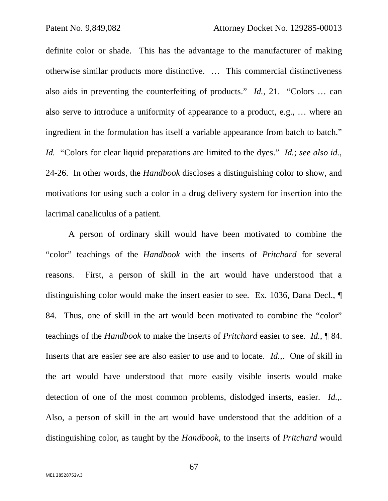definite color or shade. This has the advantage to the manufacturer of making otherwise similar products more distinctive. … This commercial distinctiveness also aids in preventing the counterfeiting of products." *Id.*, 21. "Colors … can also serve to introduce a uniformity of appearance to a product, e.g., … where an ingredient in the formulation has itself a variable appearance from batch to batch." *Id.* "Colors for clear liquid preparations are limited to the dyes." *Id.*; *see also id.*, 24-26. In other words, the *Handbook* discloses a distinguishing color to show, and motivations for using such a color in a drug delivery system for insertion into the lacrimal canaliculus of a patient.

A person of ordinary skill would have been motivated to combine the "color" teachings of the *Handbook* with the inserts of *Pritchard* for several reasons. First, a person of skill in the art would have understood that a distinguishing color would make the insert easier to see. Ex. 1036, Dana Decl., ¶ 84. Thus, one of skill in the art would been motivated to combine the "color" teachings of the *Handbook* to make the inserts of *Pritchard* easier to see. *Id.*, ¶ 84. Inserts that are easier see are also easier to use and to locate. *Id.*,. One of skill in the art would have understood that more easily visible inserts would make detection of one of the most common problems, dislodged inserts, easier. *Id.*,. Also, a person of skill in the art would have understood that the addition of a distinguishing color, as taught by the *Handbook,* to the inserts of *Pritchard* would

67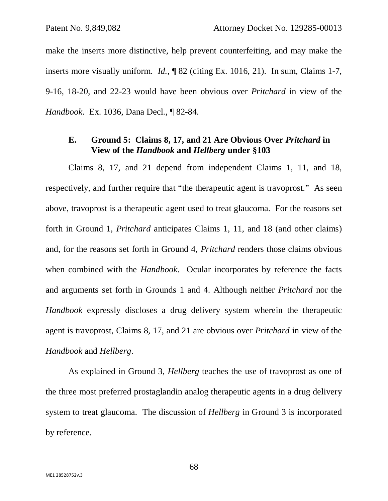make the inserts more distinctive, help prevent counterfeiting, and may make the inserts more visually uniform. *Id.*, ¶ 82 (citing Ex. 1016, 21). In sum, Claims 1-7, 9-16, 18-20, and 22-23 would have been obvious over *Pritchard* in view of the *Handbook*. Ex. 1036, Dana Decl., ¶ 82-84.

## **E. Ground 5: Claims 8, 17, and 21 Are Obvious Over** *Pritchard* **in View of the** *Handbook* **and** *Hellberg* **under §103**

Claims 8, 17, and 21 depend from independent Claims 1, 11, and 18, respectively, and further require that "the therapeutic agent is travoprost." As seen above, travoprost is a therapeutic agent used to treat glaucoma. For the reasons set forth in Ground 1, *Pritchard* anticipates Claims 1, 11, and 18 (and other claims) and, for the reasons set forth in Ground 4, *Pritchard* renders those claims obvious when combined with the *Handbook*. Ocular incorporates by reference the facts and arguments set forth in Grounds 1 and 4. Although neither *Pritchard* nor the *Handbook* expressly discloses a drug delivery system wherein the therapeutic agent is travoprost, Claims 8, 17, and 21 are obvious over *Pritchard* in view of the *Handbook* and *Hellberg*.

As explained in Ground 3, *Hellberg* teaches the use of travoprost as one of the three most preferred prostaglandin analog therapeutic agents in a drug delivery system to treat glaucoma. The discussion of *Hellberg* in Ground 3 is incorporated by reference.

68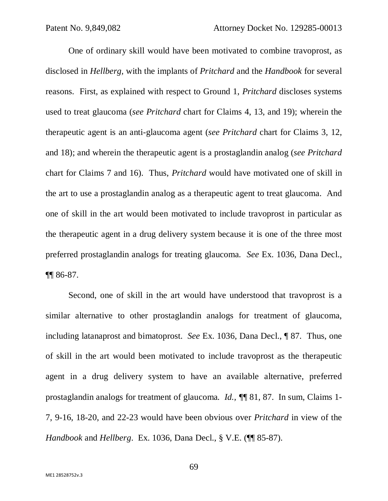One of ordinary skill would have been motivated to combine travoprost, as disclosed in *Hellberg,* with the implants of *Pritchard* and the *Handbook* for several reasons. First, as explained with respect to Ground 1, *Pritchard* discloses systems used to treat glaucoma (*see Pritchard* chart for Claims 4, 13, and 19); wherein the therapeutic agent is an anti-glaucoma agent (*see Pritchard* chart for Claims 3, 12, and 18); and wherein the therapeutic agent is a prostaglandin analog (*see Pritchard* chart for Claims 7 and 16). Thus, *Pritchard* would have motivated one of skill in the art to use a prostaglandin analog as a therapeutic agent to treat glaucoma. And one of skill in the art would been motivated to include travoprost in particular as the therapeutic agent in a drug delivery system because it is one of the three most preferred prostaglandin analogs for treating glaucoma*. See* Ex. 1036, Dana Decl., ¶¶ 86-87.

Second, one of skill in the art would have understood that travoprost is a similar alternative to other prostaglandin analogs for treatment of glaucoma, including latanaprost and bimatoprost. *See* Ex. 1036, Dana Decl., ¶ 87. Thus, one of skill in the art would been motivated to include travoprost as the therapeutic agent in a drug delivery system to have an available alternative, preferred prostaglandin analogs for treatment of glaucoma*. Id., ¶*¶ 81, 87. In sum, Claims 1- 7, 9-16, 18-20, and 22-23 would have been obvious over *Pritchard* in view of the *Handbook* and *Hellberg*. Ex. 1036, Dana Decl., § V.E. (¶¶ 85-87).

69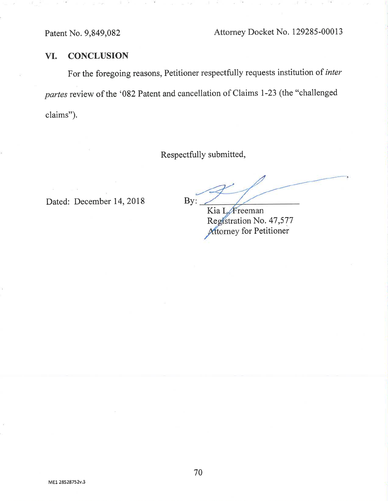#### **CONCLUSION** VI.

For the foregoing reasons, Petitioner respectfully requests institution of inter partes review of the '082 Patent and cancellation of Claims 1-23 (the "challenged claims").

Respectfully submitted,

Dated: December 14, 2018

By:

Kia L. Freeman Registration No. 47,577 Attorney for Petitioner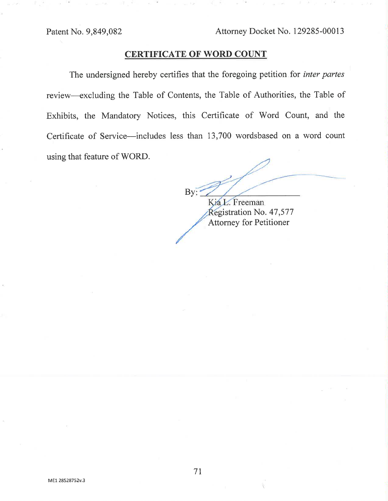Patent No. 9,849,082

# **CERTIFICATE OF WORD COUNT**

The undersigned hereby certifies that the foregoing petition for inter partes review—excluding the Table of Contents, the Table of Authorities, the Table of Exhibits, the Mandatory Notices, this Certificate of Word Count, and the Certificate of Service—includes less than 13,700 wordsbased on a word count using that feature of WORD.

By Kia L. Freeman

Registration No. 47,577 **Attorney for Petitioner**